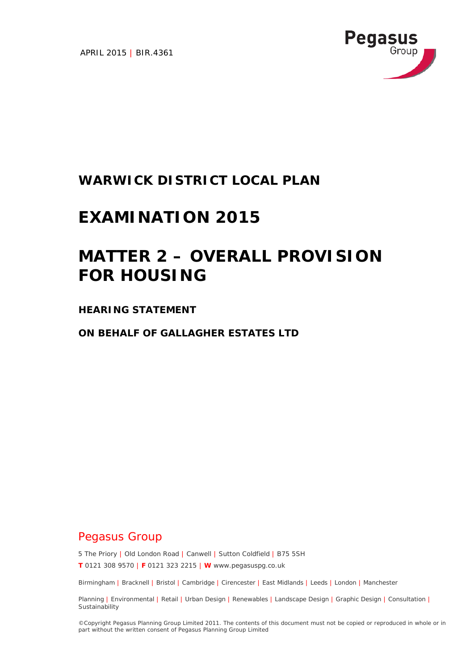APRIL 2015 | BIR.4361



# **WARWICK DISTRICT LOCAL PLAN**

# **EXAMINATION 2015**

# **MATTER 2 – OVERALL PROVISION FOR HOUSING**

# **HEARING STATEMENT**

**ON BEHALF OF GALLAGHER ESTATES LTD**

# Pegasus Group

5 The Priory | Old London Road | Canwell | Sutton Coldfield | B75 5SH

**T** 0121 308 9570 | **F** 0121 323 2215 | **W** www.pegasuspg.co.uk

Birmingham | Bracknell | Bristol | Cambridge | Cirencester | East Midlands | Leeds | London | Manchester

Planning | Environmental | Retail | Urban Design | Renewables | Landscape Design | Graphic Design | Consultation | **Sustainability** 

©Copyright Pegasus Planning Group Limited 2011. The contents of this document must not be copied or reproduced in whole or in part without the written consent of Pegasus Planning Group Limited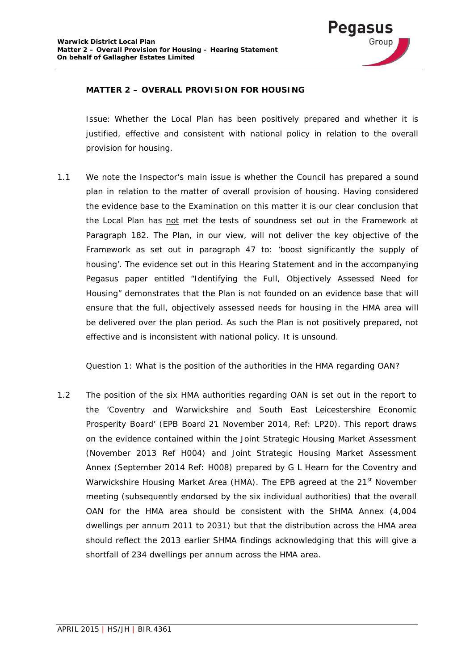

## **MATTER 2 – OVERALL PROVISION FOR HOUSING**

*Issue: Whether the Local Plan has been positively prepared and whether it is justified, effective and consistent with national policy in relation to the overall provision for housing.* 

*1.1* We note the Inspector's main issue is whether the Council has prepared a sound plan in relation to the matter of overall provision of housing. Having considered the evidence base to the Examination on this matter it is our clear conclusion that the Local Plan has not met the tests of soundness set out in the Framework at Paragraph 182. The Plan, in our view, will not deliver the key objective of the Framework as set out in paragraph 47 to: *'boost significantly the supply of housing'*. The evidence set out in this Hearing Statement and in the accompanying Pegasus paper entitled *"Identifying the Full, Objectively Assessed Need for Housing"* demonstrates that the Plan is not founded on an evidence base that will ensure that the full, objectively assessed needs for housing in the HMA area will be delivered over the plan period. As such the Plan is not positively prepared, not effective and is inconsistent with national policy. It is unsound.

*Question 1: What is the position of the authorities in the HMA regarding OAN?*

1.2 The position of the six HMA authorities regarding OAN is set out in the report to the *'Coventry and Warwickshire and South East Leicestershire Economic Prosperity Board'* (EPB Board 21 November 2014, Ref: LP20). This report draws on the evidence contained within the Joint Strategic Housing Market Assessment (November 2013 Ref H004) and Joint Strategic Housing Market Assessment Annex (September 2014 Ref: H008) prepared by G L Hearn for the Coventry and Warwickshire Housing Market Area (HMA). The EPB agreed at the 21<sup>st</sup> November meeting (subsequently endorsed by the six individual authorities) that the overall OAN for the HMA area should be consistent with the SHMA Annex (4,004 dwellings per annum 2011 to 2031) but that the distribution across the HMA area should reflect the 2013 earlier SHMA findings acknowledging that this will give a shortfall of 234 dwellings per annum across the HMA area.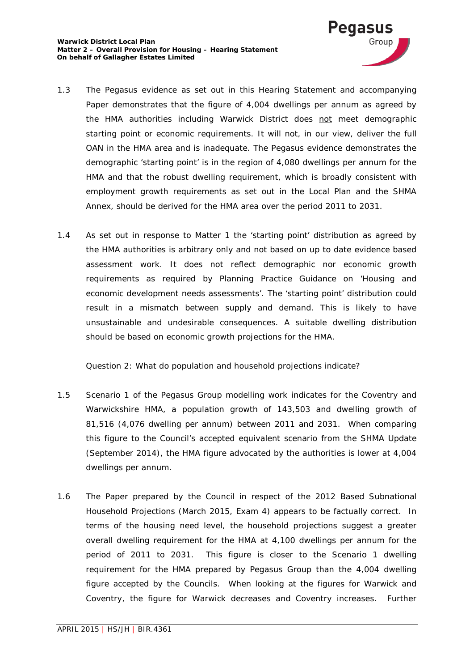

- 1.3 The Pegasus evidence as set out in this Hearing Statement and accompanying Paper demonstrates that the figure of 4,004 dwellings per annum as agreed by the HMA authorities including Warwick District does not meet demographic starting point or economic requirements. It will not, in our view, deliver the full OAN in the HMA area and is inadequate. The Pegasus evidence demonstrates the demographic 'starting point' is in the region of 4,080 dwellings per annum for the HMA and that the robust dwelling requirement, which is broadly consistent with employment growth requirements as set out in the Local Plan and the SHMA Annex, should be derived for the HMA area over the period 2011 to 2031.
- 1.4 As set out in response to Matter 1 the 'starting point' distribution as agreed by the HMA authorities is arbitrary only and not based on up to date evidence based assessment work. It does not reflect demographic nor economic growth requirements as required by Planning Practice Guidance on *'Housing and economic development needs assessments'*. The 'starting point' distribution could result in a mismatch between supply and demand. This is likely to have unsustainable and undesirable consequences. A suitable dwelling distribution should be based on economic growth projections for the HMA.

## *Question 2: What do population and household projections indicate?*

- 1.5 Scenario 1 of the Pegasus Group modelling work indicates for the Coventry and Warwickshire HMA, a population growth of 143,503 and dwelling growth of 81,516 (4,076 dwelling per annum) between 2011 and 2031. When comparing this figure to the Council's accepted equivalent scenario from the SHMA Update (September 2014), the HMA figure advocated by the authorities is lower at 4,004 dwellings per annum.
- 1.6 The Paper prepared by the Council in respect of the 2012 Based Subnational Household Projections (March 2015, Exam 4) appears to be factually correct. In terms of the housing need level, the household projections suggest a greater overall dwelling requirement for the HMA at 4,100 dwellings per annum for the period of 2011 to 2031. This figure is closer to the Scenario 1 dwelling requirement for the HMA prepared by Pegasus Group than the 4,004 dwelling figure accepted by the Councils. When looking at the figures for Warwick and Coventry, the figure for Warwick decreases and Coventry increases. Further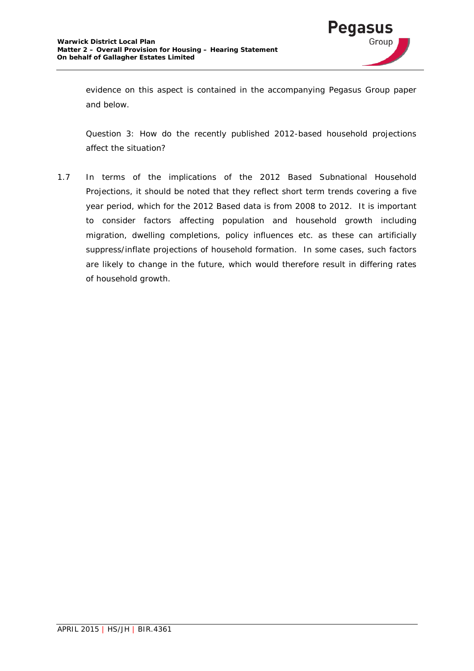

evidence on this aspect is contained in the accompanying Pegasus Group paper and below.

*Question 3: How do the recently published 2012-based household projections affect the situation?* 

1.7 In terms of the implications of the 2012 Based Subnational Household Projections, it should be noted that they reflect short term trends covering a five year period, which for the 2012 Based data is from 2008 to 2012. It is important to consider factors affecting population and household growth including migration, dwelling completions, policy influences etc. as these can artificially suppress/inflate projections of household formation. In some cases, such factors are likely to change in the future, which would therefore result in differing rates of household growth.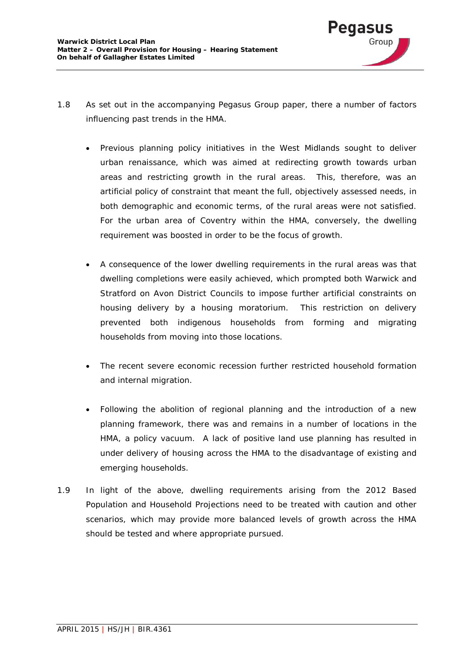

- 1.8 As set out in the accompanying Pegasus Group paper, there a number of factors influencing past trends in the HMA.
	- Previous planning policy initiatives in the West Midlands sought to deliver urban renaissance, which was aimed at redirecting growth towards urban areas and restricting growth in the rural areas. This, therefore, was an artificial policy of constraint that meant the full, objectively assessed needs, in both demographic and economic terms, of the rural areas were not satisfied. For the urban area of Coventry within the HMA, conversely, the dwelling requirement was boosted in order to be the focus of growth.
	- A consequence of the lower dwelling requirements in the rural areas was that dwelling completions were easily achieved, which prompted both Warwick and Stratford on Avon District Councils to impose further artificial constraints on housing delivery by a housing moratorium. This restriction on delivery prevented both indigenous households from forming and migrating households from moving into those locations.
	- The recent severe economic recession further restricted household formation and internal migration.
	- Following the abolition of regional planning and the introduction of a new planning framework, there was and remains in a number of locations in the HMA, a policy vacuum. A lack of positive land use planning has resulted in under delivery of housing across the HMA to the disadvantage of existing and emerging households.
- 1.9 In light of the above, dwelling requirements arising from the 2012 Based Population and Household Projections need to be treated with caution and other scenarios, which may provide more balanced levels of growth across the HMA should be tested and where appropriate pursued.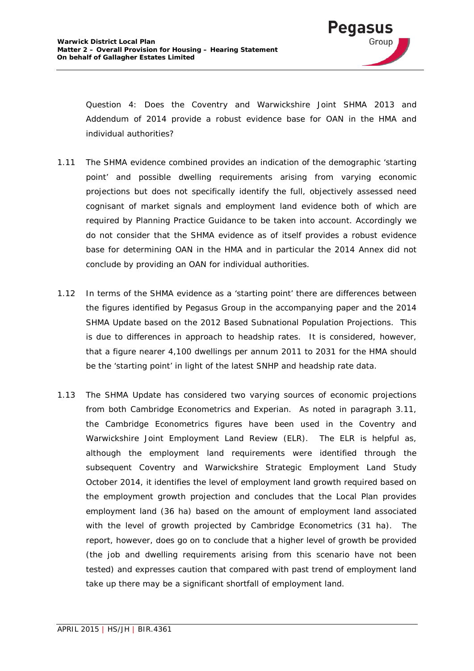

*Question 4: Does the Coventry and Warwickshire Joint SHMA 2013 and Addendum of 2014 provide a robust evidence base for OAN in the HMA and individual authorities?*

- 1.11 The SHMA evidence combined provides an indication of the demographic 'starting point' and possible dwelling requirements arising from varying economic projections but does not specifically identify the full, objectively assessed need cognisant of market signals and employment land evidence both of which are required by Planning Practice Guidance to be taken into account. Accordingly we do not consider that the SHMA evidence as of itself provides a robust evidence base for determining OAN in the HMA and in particular the 2014 Annex did not conclude by providing an OAN for individual authorities.
- 1.12 In terms of the SHMA evidence as a 'starting point' there are differences between the figures identified by Pegasus Group in the accompanying paper and the 2014 SHMA Update based on the 2012 Based Subnational Population Projections. This is due to differences in approach to headship rates. It is considered, however, that a figure nearer 4,100 dwellings per annum 2011 to 2031 for the HMA should be the 'starting point' in light of the latest SNHP and headship rate data.
- 1.13 The SHMA Update has considered two varying sources of economic projections from both Cambridge Econometrics and Experian. As noted in paragraph 3.11, the Cambridge Econometrics figures have been used in the Coventry and Warwickshire Joint Employment Land Review (ELR). The ELR is helpful as, although the employment land requirements were identified through the subsequent Coventry and Warwickshire Strategic Employment Land Study October 2014, it identifies the level of employment land growth required based on the employment growth projection and concludes that the Local Plan provides employment land (36 ha) based on the amount of employment land associated with the level of growth projected by Cambridge Econometrics (31 ha). The report, however, does go on to conclude that a higher level of growth be provided (the job and dwelling requirements arising from this scenario have not been tested) and expresses caution that compared with past trend of employment land take up there may be a significant shortfall of employment land.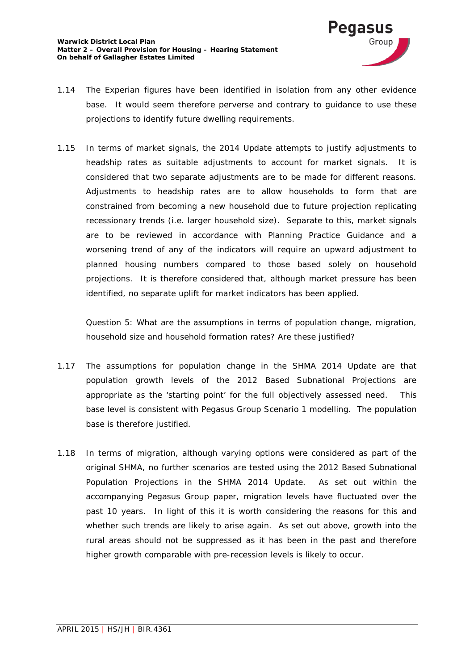

- 1.14 The Experian figures have been identified in isolation from any other evidence base. It would seem therefore perverse and contrary to guidance to use these projections to identify future dwelling requirements.
- 1.15 In terms of market signals, the 2014 Update attempts to justify adjustments to headship rates as suitable adjustments to account for market signals. It is considered that two separate adjustments are to be made for different reasons. Adjustments to headship rates are to allow households to form that are constrained from becoming a new household due to future projection replicating recessionary trends (i.e. larger household size). Separate to this, market signals are to be reviewed in accordance with Planning Practice Guidance and a worsening trend of any of the indicators will require an upward adjustment to planned housing numbers compared to those based solely on household projections. It is therefore considered that, although market pressure has been identified, no separate uplift for market indicators has been applied.

*Question 5: What are the assumptions in terms of population change, migration, household size and household formation rates? Are these justified?*

- 1.17 The assumptions for population change in the SHMA 2014 Update are that population growth levels of the 2012 Based Subnational Projections are appropriate as the 'starting point' for the full objectively assessed need. This base level is consistent with Pegasus Group Scenario 1 modelling. The population base is therefore justified.
- 1.18 In terms of migration, although varying options were considered as part of the original SHMA, no further scenarios are tested using the 2012 Based Subnational Population Projections in the SHMA 2014 Update. As set out within the accompanying Pegasus Group paper, migration levels have fluctuated over the past 10 years. In light of this it is worth considering the reasons for this and whether such trends are likely to arise again. As set out above, growth into the rural areas should not be suppressed as it has been in the past and therefore higher growth comparable with pre-recession levels is likely to occur.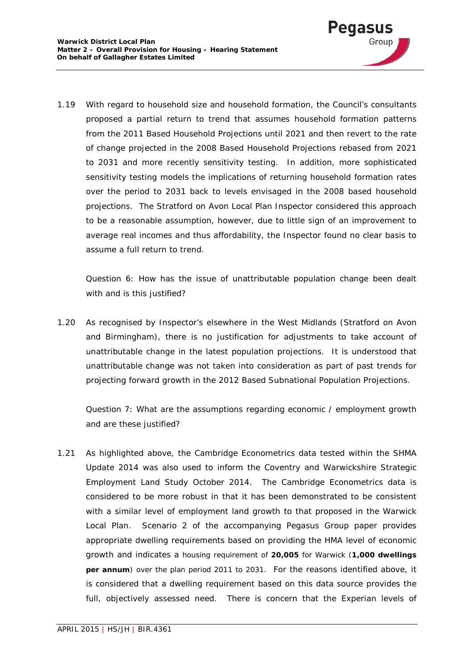

1.19 With regard to household size and household formation, the Council's consultants proposed a partial return to trend that assumes household formation patterns from the 2011 Based Household Projections until 2021 and then revert to the rate of change projected in the 2008 Based Household Projections rebased from 2021 to 2031 and more recently sensitivity testing. In addition, more sophisticated sensitivity testing models the implications of returning household formation rates over the period to 2031 back to levels envisaged in the 2008 based household projections. The Stratford on Avon Local Plan Inspector considered this approach to be a reasonable assumption, however, due to little sign of an improvement to average real incomes and thus affordability, the Inspector found no clear basis to assume a full return to trend.

*Question 6: How has the issue of unattributable population change been dealt with and is this justified?*

1.20 As recognised by Inspector's elsewhere in the West Midlands (Stratford on Avon and Birmingham), there is no justification for adjustments to take account of unattributable change in the latest population projections. It is understood that unattributable change was not taken into consideration as part of past trends for projecting forward growth in the 2012 Based Subnational Population Projections.

*Question 7: What are the assumptions regarding economic / employment growth and are these justified?*

1.21 As highlighted above, the Cambridge Econometrics data tested within the SHMA Update 2014 was also used to inform the Coventry and Warwickshire Strategic Employment Land Study October 2014. The Cambridge Econometrics data is considered to be more robust in that it has been demonstrated to be consistent with a similar level of employment land growth to that proposed in the Warwick Local Plan. Scenario 2 of the accompanying Pegasus Group paper provides appropriate dwelling requirements based on providing the HMA level of economic growth and indicates a housing requirement of **20,005** for Warwick (**1,000 dwellings per annum**) over the plan period 2011 to 2031. For the reasons identified above, it is considered that a dwelling requirement based on this data source provides the full, objectively assessed need. There is concern that the Experian levels of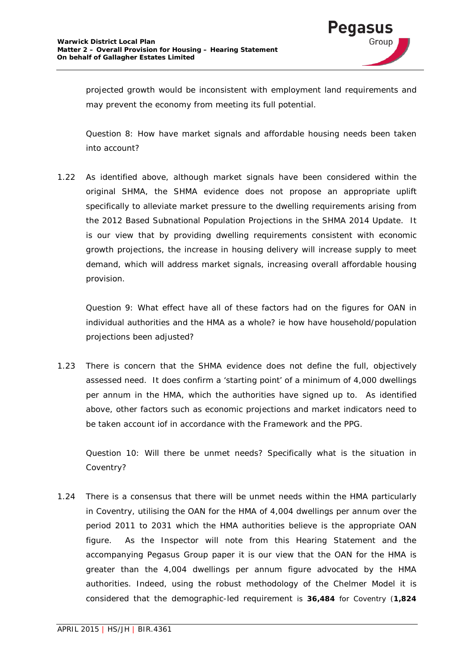

projected growth would be inconsistent with employment land requirements and may prevent the economy from meeting its full potential.

*Question 8: How have market signals and affordable housing needs been taken into account?*

1.22 As identified above, although market signals have been considered within the original SHMA, the SHMA evidence does not propose an appropriate uplift specifically to alleviate market pressure to the dwelling requirements arising from the 2012 Based Subnational Population Projections in the SHMA 2014 Update. It is our view that by providing dwelling requirements consistent with economic growth projections, the increase in housing delivery will increase supply to meet demand, which will address market signals, increasing overall affordable housing provision.

*Question 9: What effect have all of these factors had on the figures for OAN in individual authorities and the HMA as a whole? ie how have household/population projections been adjusted?*

1.23 There is concern that the SHMA evidence does not define the full, objectively assessed need. It does confirm a 'starting point' of a minimum of 4,000 dwellings per annum in the HMA, which the authorities have signed up to. As identified above, other factors such as economic projections and market indicators need to be taken account iof in accordance with the Framework and the PPG.

*Question 10: Will there be unmet needs? Specifically what is the situation in Coventry?*

1.24 There is a consensus that there will be unmet needs within the HMA particularly in Coventry, utilising the OAN for the HMA of 4,004 dwellings per annum over the period 2011 to 2031 which the HMA authorities believe is the appropriate OAN figure. As the Inspector will note from this Hearing Statement and the accompanying Pegasus Group paper it is our view that the OAN for the HMA is greater than the 4,004 dwellings per annum figure advocated by the HMA authorities. Indeed, using the robust methodology of the Chelmer Model it is considered that the demographic-led requirement is **36,484** for Coventry (**1,824**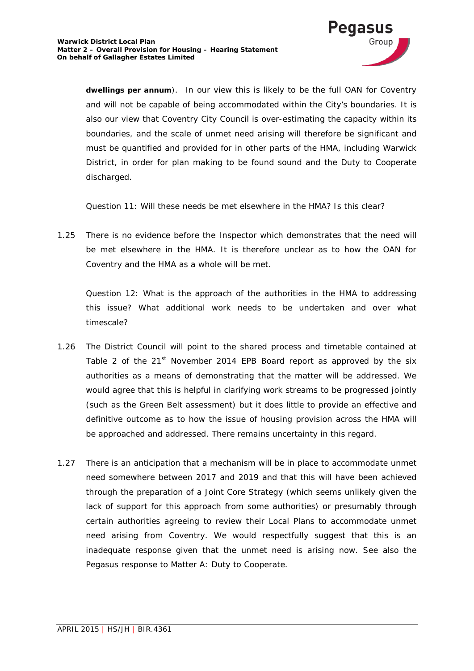

**dwellings per annum**). In our view this is likely to be the full OAN for Coventry and will not be capable of being accommodated within the City's boundaries. It is also our view that Coventry City Council is over-estimating the capacity within its boundaries, and the scale of unmet need arising will therefore be significant and must be quantified and provided for in other parts of the HMA, including Warwick District, in order for plan making to be found sound and the Duty to Cooperate discharged.

*Question 11: Will these needs be met elsewhere in the HMA? Is this clear?*

1.25 There is no evidence before the Inspector which demonstrates that the need will be met elsewhere in the HMA. It is therefore unclear as to how the OAN for Coventry and the HMA as a whole will be met.

*Question 12: What is the approach of the authorities in the HMA to addressing this issue? What additional work needs to be undertaken and over what timescale?*

- 1.26 The District Council will point to the shared process and timetable contained at Table 2 of the  $21<sup>st</sup>$  November 2014 EPB Board report as approved by the six authorities as a means of demonstrating that the matter will be addressed. We would agree that this is helpful in clarifying work streams to be progressed jointly (such as the Green Belt assessment) but it does little to provide an effective and definitive outcome as to how the issue of housing provision across the HMA will be approached and addressed. There remains uncertainty in this regard.
- 1.27 There is an anticipation that a mechanism will be in place to accommodate unmet need somewhere between 2017 and 2019 and that this will have been achieved through the preparation of a Joint Core Strategy (which seems unlikely given the lack of support for this approach from some authorities) or presumably through certain authorities agreeing to review their Local Plans to accommodate unmet need arising from Coventry. We would respectfully suggest that this is an inadequate response given that the unmet need is arising now. See also the Pegasus response to Matter A: Duty to Cooperate.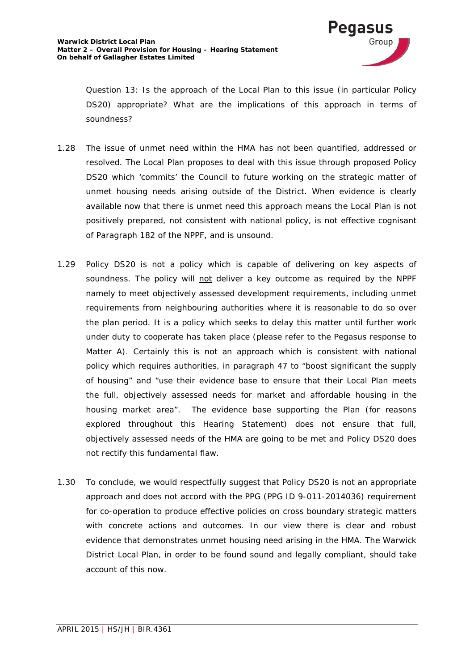

*Question 13: Is the approach of the Local Plan to this issue (in particular Policy DS20) appropriate? What are the implications of this approach in terms of soundness?*

- 1.28 The issue of unmet need within the HMA has not been quantified, addressed or resolved. The Local Plan proposes to deal with this issue through proposed Policy DS20 which 'commits' the Council to future working on the strategic matter of unmet housing needs arising outside of the District. When evidence is clearly available now that there is unmet need this approach means the Local Plan is not positively prepared, not consistent with national policy, is not effective cognisant of Paragraph 182 of the NPPF, and is unsound.
- 1.29 Policy DS20 is not a policy which is capable of delivering on key aspects of soundness. The policy will not deliver a key outcome as required by the NPPF namely to meet objectively assessed development requirements, including unmet requirements from neighbouring authorities where it is reasonable to do so over the plan period. It is a policy which seeks to delay this matter until further work under duty to cooperate has taken place (please refer to the Pegasus response to Matter A). Certainly this is not an approach which is consistent with national policy which requires authorities, in paragraph 47 to *"boost significant the supply of housing"* and *"use their evidence base to ensure that their Local Plan meets the full, objectively assessed needs for market and affordable housing in the housing market area"*. The evidence base supporting the Plan (for reasons explored throughout this Hearing Statement) does not ensure that full, objectively assessed needs of the HMA are going to be met and Policy DS20 does not rectify this fundamental flaw.
- 1.30 To conclude, we would respectfully suggest that Policy DS20 is not an appropriate approach and does not accord with the PPG (PPG ID 9-011-2014036) requirement for co-operation to produce effective policies on cross boundary strategic matters with concrete actions and outcomes. In our view there is clear and robust evidence that demonstrates unmet housing need arising in the HMA. The Warwick District Local Plan, in order to be found sound and legally compliant, should take account of this now.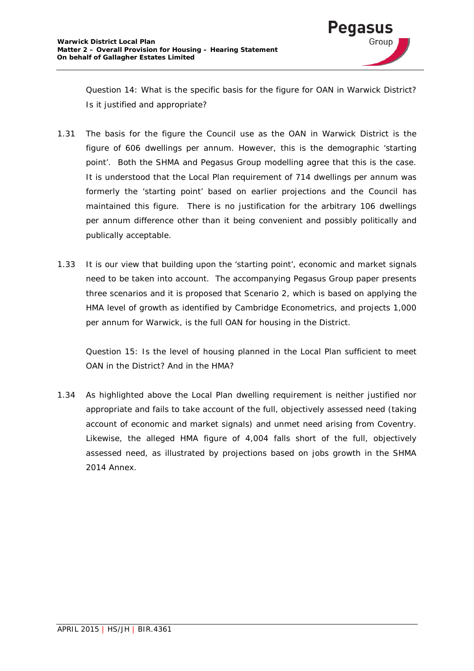

*Question 14: What is the specific basis for the figure for OAN in Warwick District? Is it justified and appropriate?*

- 1.31 The basis for the figure the Council use as the OAN in Warwick District is the figure of 606 dwellings per annum. However, this is the demographic 'starting point'. Both the SHMA and Pegasus Group modelling agree that this is the case. It is understood that the Local Plan requirement of 714 dwellings per annum was formerly the 'starting point' based on earlier projections and the Council has maintained this figure. There is no justification for the arbitrary 106 dwellings per annum difference other than it being convenient and possibly politically and publically acceptable.
- 1.33 It is our view that building upon the 'starting point', economic and market signals need to be taken into account. The accompanying Pegasus Group paper presents three scenarios and it is proposed that Scenario 2, which is based on applying the HMA level of growth as identified by Cambridge Econometrics, and projects 1,000 per annum for Warwick, is the full OAN for housing in the District.

*Question 15: Is the level of housing planned in the Local Plan sufficient to meet OAN in the District? And in the HMA?*

1.34 As highlighted above the Local Plan dwelling requirement is neither justified nor appropriate and fails to take account of the full, objectively assessed need (taking account of economic and market signals) and unmet need arising from Coventry. Likewise, the alleged HMA figure of 4,004 falls short of the full, objectively assessed need, as illustrated by projections based on jobs growth in the SHMA 2014 Annex.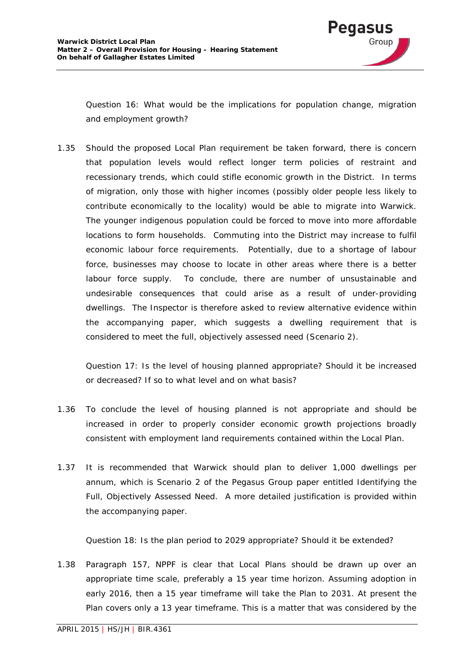

*Question 16: What would be the implications for population change, migration and employment growth?*

1.35 Should the proposed Local Plan requirement be taken forward, there is concern that population levels would reflect longer term policies of restraint and recessionary trends, which could stifle economic growth in the District. In terms of migration, only those with higher incomes (possibly older people less likely to contribute economically to the locality) would be able to migrate into Warwick. The younger indigenous population could be forced to move into more affordable locations to form households. Commuting into the District may increase to fulfil economic labour force requirements. Potentially, due to a shortage of labour force, businesses may choose to locate in other areas where there is a better labour force supply. To conclude, there are number of unsustainable and undesirable consequences that could arise as a result of under-providing dwellings. The Inspector is therefore asked to review alternative evidence within the accompanying paper, which suggests a dwelling requirement that is considered to meet the full, objectively assessed need (Scenario 2).

*Question 17: Is the level of housing planned appropriate? Should it be increased or decreased? If so to what level and on what basis?*

- 1.36 To conclude the level of housing planned is not appropriate and should be increased in order to properly consider economic growth projections broadly consistent with employment land requirements contained within the Local Plan.
- 1.37 It is recommended that Warwick should plan to deliver 1,000 dwellings per annum, which is Scenario 2 of the Pegasus Group paper entitled Identifying the Full, Objectively Assessed Need. A more detailed justification is provided within the accompanying paper.

## *Question 18: Is the plan period to 2029 appropriate? Should it be extended?*

1.38 Paragraph 157, NPPF is clear that Local Plans should be drawn up over an appropriate time scale, preferably a 15 year time horizon. Assuming adoption in early 2016, then a 15 year timeframe will take the Plan to 2031. At present the Plan covers only a 13 year timeframe. This is a matter that was considered by the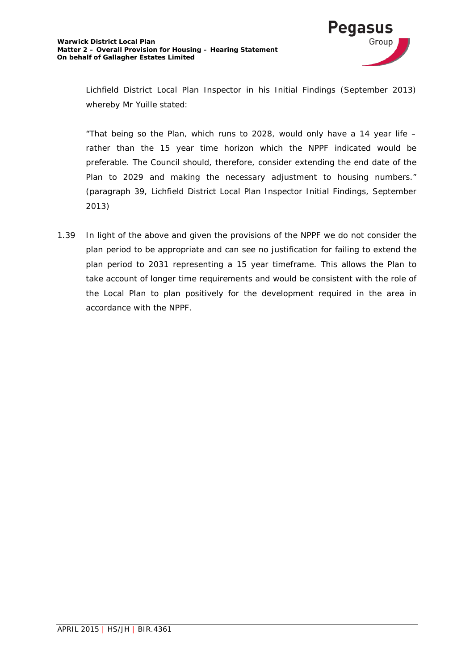

Lichfield District Local Plan Inspector in his Initial Findings (September 2013) whereby Mr Yuille stated:

*"That being so the Plan, which runs to 2028, would only have a 14 year life – rather than the 15 year time horizon which the NPPF indicated would be preferable. The Council should, therefore, consider extending the end date of the Plan to 2029 and making the necessary adjustment to housing numbers." (paragraph 39, Lichfield District Local Plan Inspector Initial Findings, September 2013)*

1.39 In light of the above and given the provisions of the NPPF we do not consider the plan period to be appropriate and can see no justification for failing to extend the plan period to 2031 representing a 15 year timeframe. This allows the Plan to take account of longer time requirements and would be consistent with the role of the Local Plan to plan positively for the development required in the area in accordance with the NPPF.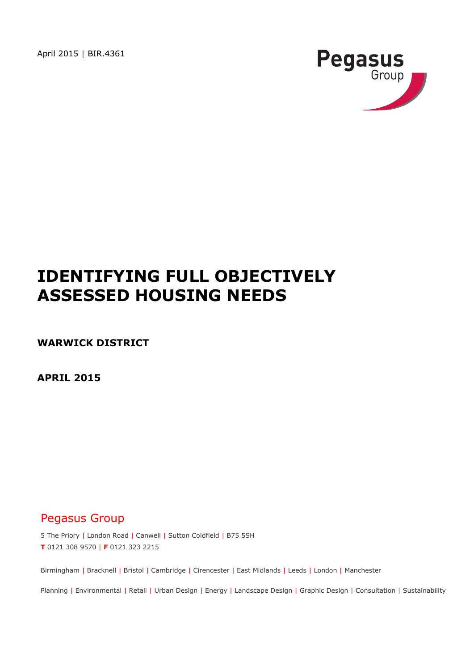April 2015 | BIR.4361



# **IDENTIFYING FULL OBJECTIVELY ASSESSED HOUSING NEEDS**

**WARWICK DISTRICT**

**APRIL 2015**

# Pegasus Group

5 The Priory | London Road | Canwell | Sutton Coldfield | B75 5SH **T** 0121 308 9570 | **F** 0121 323 2215

Birmingham | Bracknell | Bristol | Cambridge | Cirencester | East Midlands | Leeds | London | Manchester

Planning | Environmental | Retail | Urban Design | Energy | Landscape Design | Graphic Design | Consultation | Sustainability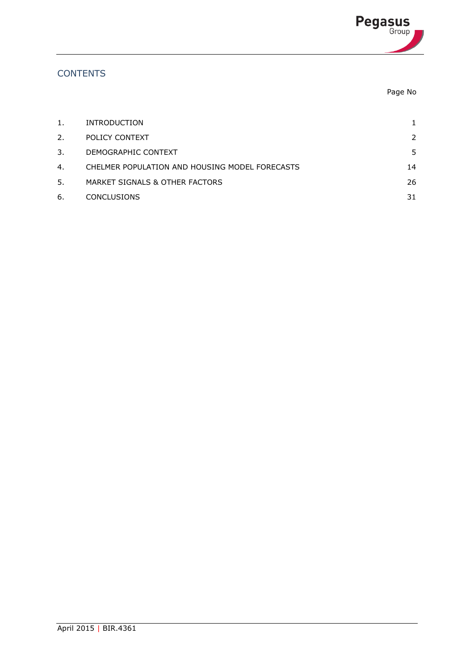

# **CONTENTS**

| Page No |  |
|---------|--|
|         |  |

| 1. | <b>INTRODUCTION</b>                            |               |
|----|------------------------------------------------|---------------|
| 2. | POLICY CONTEXT                                 | $\mathcal{P}$ |
| 3. | DEMOGRAPHIC CONTEXT                            | 5.            |
| 4. | CHELMER POPULATION AND HOUSING MODEL FORECASTS | 14            |
| 5. | MARKET SIGNALS & OTHER FACTORS                 | 26            |
| 6. | <b>CONCLUSIONS</b>                             | 31            |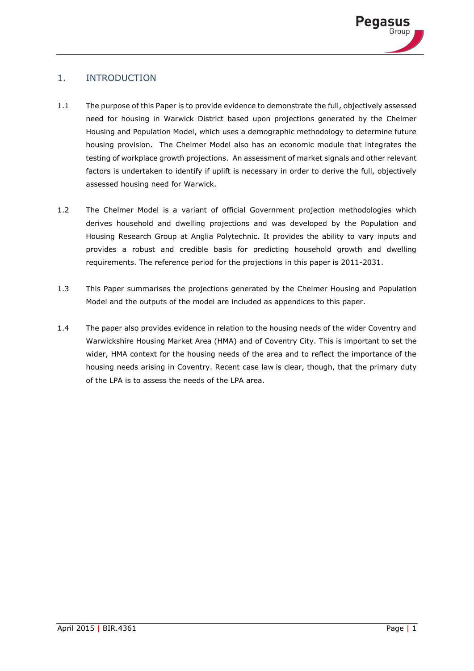

# <span id="page-16-0"></span>1. INTRODUCTION

- 1.1 The purpose of this Paper is to provide evidence to demonstrate the full, objectively assessed need for housing in Warwick District based upon projections generated by the Chelmer Housing and Population Model, which uses a demographic methodology to determine future housing provision. The Chelmer Model also has an economic module that integrates the testing of workplace growth projections. An assessment of market signals and other relevant factors is undertaken to identify if uplift is necessary in order to derive the full, objectively assessed housing need for Warwick.
- 1.2 The Chelmer Model is a variant of official Government projection methodologies which derives household and dwelling projections and was developed by the Population and Housing Research Group at Anglia Polytechnic. It provides the ability to vary inputs and provides a robust and credible basis for predicting household growth and dwelling requirements. The reference period for the projections in this paper is 2011-2031.
- 1.3 This Paper summarises the projections generated by the Chelmer Housing and Population Model and the outputs of the model are included as appendices to this paper.
- 1.4 The paper also provides evidence in relation to the housing needs of the wider Coventry and Warwickshire Housing Market Area (HMA) and of Coventry City. This is important to set the wider, HMA context for the housing needs of the area and to reflect the importance of the housing needs arising in Coventry. Recent case law is clear, though, that the primary duty of the LPA is to assess the needs of the LPA area.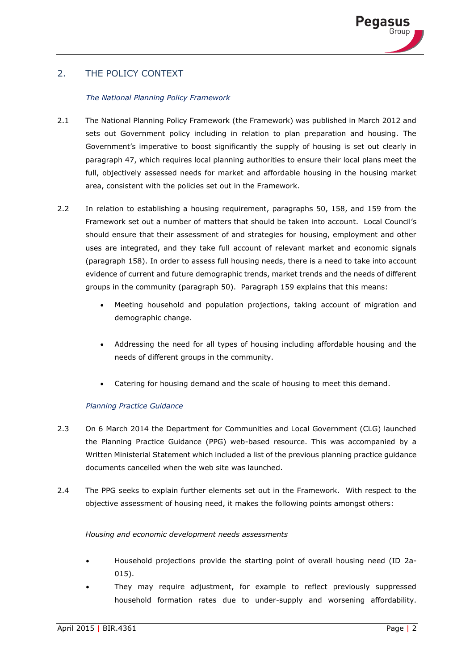# 2. THE POLICY CONTEXT

#### *The National Planning Policy Framework*

- 2.1 The National Planning Policy Framework (the Framework) was published in March 2012 and sets out Government policy including in relation to plan preparation and housing. The Government's imperative to boost significantly the supply of housing is set out clearly in paragraph 47, which requires local planning authorities to ensure their local plans meet the full, objectively assessed needs for market and affordable housing in the housing market area, consistent with the policies set out in the Framework.
- 2.2 In relation to establishing a housing requirement, paragraphs 50, 158, and 159 from the Framework set out a number of matters that should be taken into account. Local Council's should ensure that their assessment of and strategies for housing, employment and other uses are integrated, and they take full account of relevant market and economic signals (paragraph 158). In order to assess full housing needs, there is a need to take into account evidence of current and future demographic trends, market trends and the needs of different groups in the community (paragraph 50). Paragraph 159 explains that this means:
	- Meeting household and population projections, taking account of migration and demographic change.
	- Addressing the need for all types of housing including affordable housing and the needs of different groups in the community.
	- Catering for housing demand and the scale of housing to meet this demand.

#### *Planning Practice Guidance*

- 2.3 On 6 March 2014 the Department for Communities and Local Government (CLG) launched the Planning Practice Guidance (PPG) web-based resource. This was accompanied by a Written Ministerial Statement which included a list of the previous planning practice guidance documents cancelled when the web site was launched.
- 2.4 The PPG seeks to explain further elements set out in the Framework. With respect to the objective assessment of housing need, it makes the following points amongst others:

#### *Housing and economic development needs assessments*

- Household projections provide the starting point of overall housing need (ID 2a-015).
- They may require adjustment, for example to reflect previously suppressed household formation rates due to under-supply and worsening affordability.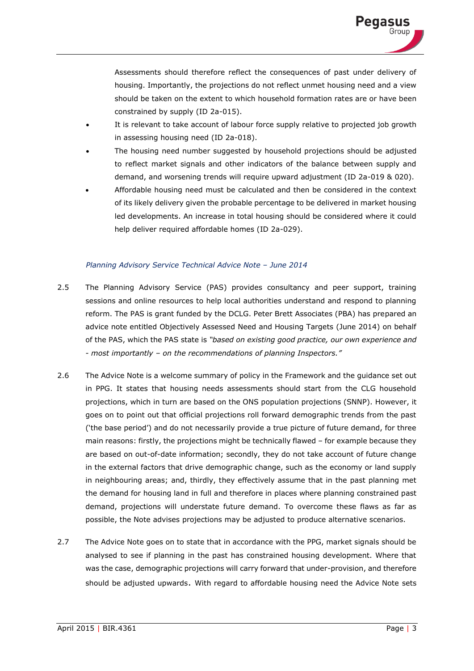

Assessments should therefore reflect the consequences of past under delivery of housing. Importantly, the projections do not reflect unmet housing need and a view should be taken on the extent to which household formation rates are or have been constrained by supply (ID 2a-015).

- It is relevant to take account of labour force supply relative to projected job growth in assessing housing need (ID 2a-018).
- The housing need number suggested by household projections should be adjusted to reflect market signals and other indicators of the balance between supply and demand, and worsening trends will require upward adjustment (ID 2a-019 & 020).
- Affordable housing need must be calculated and then be considered in the context of its likely delivery given the probable percentage to be delivered in market housing led developments. An increase in total housing should be considered where it could help deliver required affordable homes (ID 2a-029).

#### *Planning Advisory Service Technical Advice Note - June 2014*

- 2.5 The Planning Advisory Service (PAS) provides consultancy and peer support, training sessions and online resources to help local authorities understand and respond to planning reform. The PAS is grant funded by the DCLG. Peter Brett Associates (PBA) has prepared an advice note entitled Objectively Assessed Need and Housing Targets (June 2014) on behalf of the PAS, which the PAS state is *"based on existing good practice, our own experience and - most importantly – on the recommendations of planning Inspectors."*
- 2.6 The Advice Note is a welcome summary of policy in the Framework and the guidance set out in PPG. It states that housing needs assessments should start from the CLG household projections, which in turn are based on the ONS population projections (SNNP). However, it goes on to point out that official projections roll forward demographic trends from the past ('the base period') and do not necessarily provide a true picture of future demand, for three main reasons: firstly, the projections might be technically flawed – for example because they are based on out-of-date information; secondly, they do not take account of future change in the external factors that drive demographic change, such as the economy or land supply in neighbouring areas; and, thirdly, they effectively assume that in the past planning met the demand for housing land in full and therefore in places where planning constrained past demand, projections will understate future demand. To overcome these flaws as far as possible, the Note advises projections may be adjusted to produce alternative scenarios.
- 2.7 The Advice Note goes on to state that in accordance with the PPG, market signals should be analysed to see if planning in the past has constrained housing development. Where that was the case, demographic projections will carry forward that under-provision, and therefore should be adjusted upwards. With regard to affordable housing need the Advice Note sets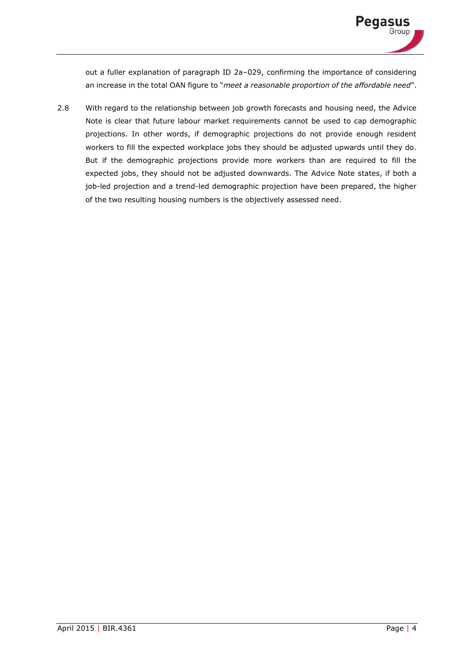

out a fuller explanation of paragraph ID 2a–029, confirming the importance of considering an increase in the total OAN figure to "*meet a reasonable proportion of the affordable need*".

2.8 With regard to the relationship between job growth forecasts and housing need, the Advice Note is clear that future labour market requirements cannot be used to cap demographic projections. In other words, if demographic projections do not provide enough resident workers to fill the expected workplace jobs they should be adjusted upwards until they do. But if the demographic projections provide more workers than are required to fill the expected jobs, they should not be adjusted downwards. The Advice Note states, if both a job-led projection and a trend-led demographic projection have been prepared, the higher of the two resulting housing numbers is the objectively assessed need.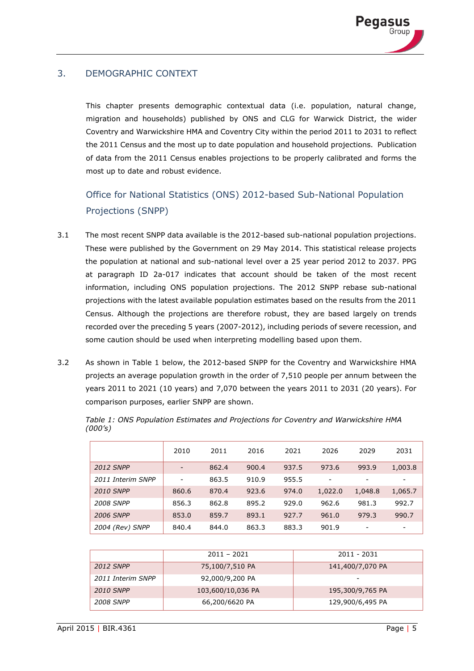

# 3. DEMOGRAPHIC CONTEXT

This chapter presents demographic contextual data (i.e. population, natural change, migration and households) published by ONS and CLG for Warwick District, the wider Coventry and Warwickshire HMA and Coventry City within the period 2011 to 2031 to reflect the 2011 Census and the most up to date population and household projections. Publication of data from the 2011 Census enables projections to be properly calibrated and forms the most up to date and robust evidence.

# Office for National Statistics (ONS) 2012-based Sub-National Population Projections (SNPP)

- 3.1 The most recent SNPP data available is the 2012-based sub-national population projections. These were published by the Government on 29 May 2014. This statistical release projects the population at national and sub-national level over a 25 year period 2012 to 2037. PPG at paragraph ID 2a-017 indicates that account should be taken of the most recent information, including ONS population projections. The 2012 SNPP rebase sub-national projections with the latest available population estimates based on the results from the 2011 Census. Although the projections are therefore robust, they are based largely on trends recorded over the preceding 5 years (2007-2012), including periods of severe recession, and some caution should be used when interpreting modelling based upon them.
- 3.2 As shown in Table 1 below, the 2012-based SNPP for the Coventry and Warwickshire HMA projects an average population growth in the order of 7,510 people per annum between the years 2011 to 2021 (10 years) and 7,070 between the years 2011 to 2031 (20 years). For comparison purposes, earlier SNPP are shown.

|                   | 2010  | 2011  | 2016  | 2021  | 2026    | 2029                     | 2031    |
|-------------------|-------|-------|-------|-------|---------|--------------------------|---------|
| <b>2012 SNPP</b>  | -     | 862.4 | 900.4 | 937.5 | 973.6   | 993.9                    | 1,003.8 |
| 2011 Interim SNPP |       | 863.5 | 910.9 | 955.5 | ۰       | $\overline{\phantom{a}}$ |         |
| <b>2010 SNPP</b>  | 860.6 | 870.4 | 923.6 | 974.0 | 1,022.0 | 1,048.8                  | 1,065.7 |
| <b>2008 SNPP</b>  | 856.3 | 862.8 | 895.2 | 929.0 | 962.6   | 981.3                    | 992.7   |
| <b>2006 SNPP</b>  | 853.0 | 859.7 | 893.1 | 927.7 | 961.0   | 979.3                    | 990.7   |
| 2004 (Rev) SNPP   | 840.4 | 844.0 | 863.3 | 883.3 | 901.9   | -                        |         |

*Table 1: ONS Population Estimates and Projections for Coventry and Warwickshire HMA (000's)*

|                   | $2011 - 2021$     | 2011 - 2031      |
|-------------------|-------------------|------------------|
| 2012 SNPP         | 75,100/7,510 PA   | 141,400/7,070 PA |
| 2011 Interim SNPP | 92,000/9,200 PA   | -                |
| <b>2010 SNPP</b>  | 103,600/10,036 PA | 195,300/9,765 PA |
| 2008 SNPP         | 66,200/6620 PA    | 129,900/6,495 PA |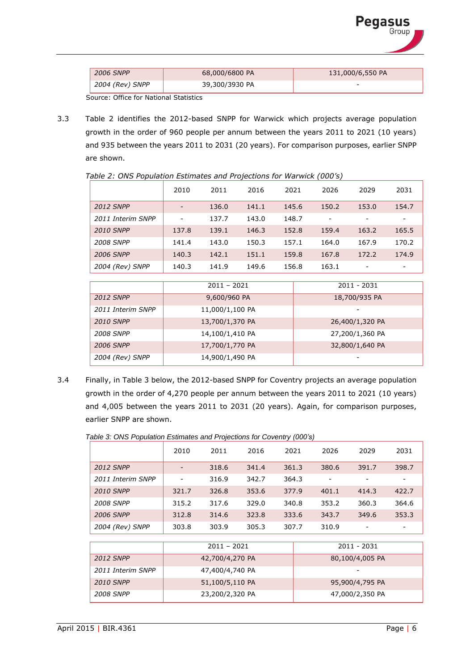| <b>Pegasus</b><br><sup>Group</sup> |  |
|------------------------------------|--|
|                                    |  |

| <b>2006 SNPP</b> | 68,000/6800 PA | 131,000/6,550 PA |
|------------------|----------------|------------------|
| 2004 (Rev) SNPP  | 39,300/3930 PA | -                |

Source: Office for National Statistics

3.3 Table 2 identifies the 2012-based SNPP for Warwick which projects average population growth in the order of 960 people per annum between the years 2011 to 2021 (10 years) and 935 between the years 2011 to 2031 (20 years). For comparison purposes, earlier SNPP are shown.

|                   | 2010                     | 2011  | 2016  | 2021  | 2026                     | 2029                     | 2031                     |
|-------------------|--------------------------|-------|-------|-------|--------------------------|--------------------------|--------------------------|
| <b>2012 SNPP</b>  |                          | 136.0 | 141.1 | 145.6 | 150.2                    | 153.0                    | 154.7                    |
| 2011 Interim SNPP | $\overline{\phantom{0}}$ | 137.7 | 143.0 | 148.7 | $\overline{\phantom{0}}$ | $\overline{\phantom{0}}$ | $\overline{\phantom{a}}$ |
| <b>2010 SNPP</b>  | 137.8                    | 139.1 | 146.3 | 152.8 | 159.4                    | 163.2                    | 165.5                    |
| <b>2008 SNPP</b>  | 141.4                    | 143.0 | 150.3 | 157.1 | 164.0                    | 167.9                    | 170.2                    |
| <b>2006 SNPP</b>  | 140.3                    | 142.1 | 151.1 | 159.8 | 167.8                    | 172.2                    | 174.9                    |
| 2004 (Rev) SNPP   | 140.3                    | 141.9 | 149.6 | 156.8 | 163.1                    | $\qquad \qquad$          |                          |
|                   |                          |       |       |       |                          |                          |                          |

*Table 2: ONS Population Estimates and Projections for Warwick (000's)*

| $\overline{\phantom{a}}$ |                 |                 |
|--------------------------|-----------------|-----------------|
|                          |                 |                 |
|                          | $2011 - 2021$   | 2011 - 2031     |
| <b>2012 SNPP</b>         | 9,600/960 PA    | 18,700/935 PA   |
| 2011 Interim SNPP        | 11,000/1,100 PA |                 |
| <b>2010 SNPP</b>         | 13,700/1,370 PA | 26,400/1,320 PA |
| <b>2008 SNPP</b>         | 14,100/1,410 PA | 27,200/1,360 PA |
| <b>2006 SNPP</b>         | 17,700/1,770 PA | 32,800/1,640 PA |
| 2004 (Rev) SNPP          | 14,900/1,490 PA | -               |

3.4 Finally, in Table 3 below, the 2012-based SNPP for Coventry projects an average population growth in the order of 4,270 people per annum between the years 2011 to 2021 (10 years) and 4,005 between the years 2011 to 2031 (20 years). Again, for comparison purposes, earlier SNPP are shown.

*Table 3: ONS Population Estimates and Projections for Coventry (000's)*

|                   | 2010  | 2011  | 2016  | 2021  | 2026  | 2029  | 2031  |
|-------------------|-------|-------|-------|-------|-------|-------|-------|
| <b>2012 SNPP</b>  | -     | 318.6 | 341.4 | 361.3 | 380.6 | 391.7 | 398.7 |
| 2011 Interim SNPP | -     | 316.9 | 342.7 | 364.3 | -     | ۰     | -     |
| <b>2010 SNPP</b>  | 321.7 | 326.8 | 353.6 | 377.9 | 401.1 | 414.3 | 422.7 |
| <b>2008 SNPP</b>  | 315.2 | 317.6 | 329.0 | 340.8 | 353.2 | 360.3 | 364.6 |
| <b>2006 SNPP</b>  | 312.8 | 314.6 | 323.8 | 333.6 | 343.7 | 349.6 | 353.3 |
| 2004 (Rev) SNPP   | 303.8 | 303.9 | 305.3 | 307.7 | 310.9 |       |       |

|                   | $2011 - 2021$   | 2011 - 2031     |
|-------------------|-----------------|-----------------|
| <b>2012 SNPP</b>  | 42,700/4,270 PA | 80,100/4,005 PA |
| 2011 Interim SNPP | 47,400/4,740 PA |                 |
| <b>2010 SNPP</b>  | 51,100/5,110 PA | 95,900/4,795 PA |
| <b>2008 SNPP</b>  | 23,200/2,320 PA | 47,000/2,350 PA |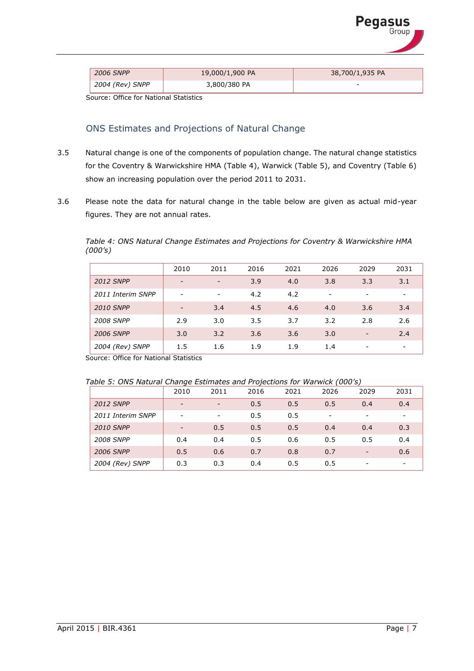

| <b>2006 SNPP</b> | 19,000/1,900 PA | 38,700/1,935 PA |
|------------------|-----------------|-----------------|
| 2004 (Rev) SNPP  | 3,800/380 PA    | $\sim$          |

Source: Office for National Statistics

# ONS Estimates and Projections of Natural Change

- 3.5 Natural change is one of the components of population change. The natural change statistics for the Coventry & Warwickshire HMA (Table 4), Warwick (Table 5), and Coventry (Table 6) show an increasing population over the period 2011 to 2031.
- 3.6 Please note the data for natural change in the table below are given as actual mid-year figures. They are not annual rates.

*Table 4: ONS Natural Change Estimates and Projections for Coventry & Warwickshire HMA (000's)*

|                   | 2010                     | 2011                     | 2016 | 2021 | 2026 | 2029                     | 2031                     |
|-------------------|--------------------------|--------------------------|------|------|------|--------------------------|--------------------------|
| <b>2012 SNPP</b>  | $\overline{\phantom{0}}$ | $\overline{\phantom{0}}$ | 3.9  | 4.0  | 3.8  | 3.3                      | 3.1                      |
| 2011 Interim SNPP | -                        | $\overline{\phantom{0}}$ | 4.2  | 4.2  | -    | ۰                        | $\overline{\phantom{a}}$ |
| <b>2010 SNPP</b>  | $\overline{\phantom{a}}$ | 3.4                      | 4.5  | 4.6  | 4.0  | 3.6                      | 3.4                      |
| <b>2008 SNPP</b>  | 2.9                      | 3.0                      | 3.5  | 3.7  | 3.2  | 2.8                      | 2.6                      |
| <b>2006 SNPP</b>  | 3.0                      | 3.2                      | 3.6  | 3.6  | 3.0  | $\overline{\phantom{a}}$ | 2.4                      |
| 2004 (Rev) SNPP   | 1.5                      | 1.6                      | 1.9  | 1.9  | 1.4  | -                        | $\overline{\phantom{a}}$ |

Source: Office for National Statistics

| Table 5: ONS Natural Change Estimates and Projections for Warwick (000's) |  |  |
|---------------------------------------------------------------------------|--|--|
|                                                                           |  |  |
|                                                                           |  |  |

|                   | 2010                     | 2011                     | 2016 | 2021 | 2026                     | 2029                     | 2031                     |
|-------------------|--------------------------|--------------------------|------|------|--------------------------|--------------------------|--------------------------|
| <b>2012 SNPP</b>  | $\overline{\phantom{0}}$ | $\overline{\phantom{a}}$ | 0.5  | 0.5  | 0.5                      | 0.4                      | 0.4                      |
| 2011 Interim SNPP | $\overline{\phantom{0}}$ | $\overline{\phantom{a}}$ | 0.5  | 0.5  | $\overline{\phantom{a}}$ | ۰                        | $\overline{\phantom{a}}$ |
| <b>2010 SNPP</b>  | $\overline{\phantom{0}}$ | 0.5                      | 0.5  | 0.5  | 0.4                      | 0.4                      | 0.3                      |
| <b>2008 SNPP</b>  | 0.4                      | 0.4                      | 0.5  | 0.6  | 0.5                      | 0.5                      | 0.4                      |
| <b>2006 SNPP</b>  | 0.5                      | 0.6                      | 0.7  | 0.8  | 0.7                      | $\overline{\phantom{a}}$ | 0.6                      |
| 2004 (Rev) SNPP   | 0.3                      | 0.3                      | 0.4  | 0.5  | 0.5                      |                          | $\overline{\phantom{0}}$ |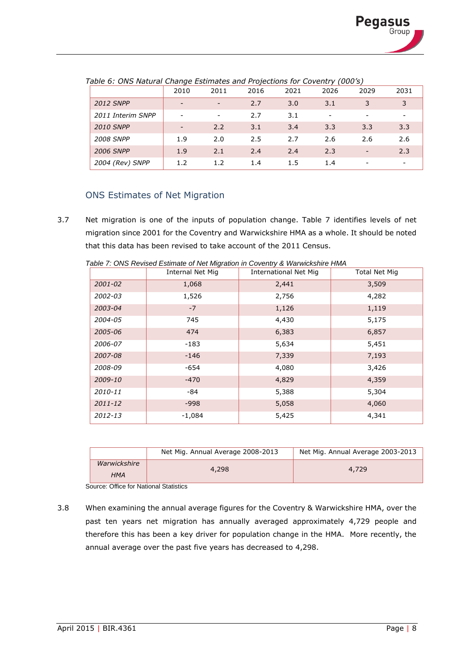|                   | 2010                     | 2011                     | 2016 | 2021 | 2026 | 2029                     | 2031                     |
|-------------------|--------------------------|--------------------------|------|------|------|--------------------------|--------------------------|
| <b>2012 SNPP</b>  | -                        | $\overline{\phantom{0}}$ | 2.7  | 3.0  | 3.1  | 3                        | 3                        |
| 2011 Interim SNPP | -                        | $\overline{\phantom{a}}$ | 2.7  | 3.1  | -    |                          | -                        |
| <b>2010 SNPP</b>  | $\overline{\phantom{0}}$ | 2.2                      | 3.1  | 3.4  | 3.3  | 3.3                      | 3.3                      |
| <b>2008 SNPP</b>  | 1.9                      | 2.0                      | 2.5  | 2.7  | 2.6  | 2.6                      | 2.6                      |
| <b>2006 SNPP</b>  | 1.9                      | 2.1                      | 2.4  | 2.4  | 2.3  | $\overline{\phantom{a}}$ | 2.3                      |
| 2004 (Rev) SNPP   | 1.2                      | 1.2                      | 1.4  | 1.5  | 1.4  |                          | $\overline{\phantom{a}}$ |

*Table 6: ONS Natural Change Estimates and Projections for Coventry (000's)*

# ONS Estimates of Net Migration

3.7 Net migration is one of the inputs of population change. Table 7 identifies levels of net migration since 2001 for the Coventry and Warwickshire HMA as a whole. It should be noted that this data has been revised to take account of the 2011 Census.

|             | Internal Net Mig | International Net Mig | Total Net Mig |
|-------------|------------------|-----------------------|---------------|
| 2001-02     | 1,068            | 2,441                 | 3,509         |
| 2002-03     | 1,526            | 2,756                 | 4,282         |
| 2003-04     | $-7$             | 1,126                 | 1,119         |
| 2004-05     | 745              | 4,430                 | 5,175         |
| 2005-06     | 474              | 6,383                 | 6,857         |
| 2006-07     | $-183$           | 5,634                 | 5,451         |
| 2007-08     | $-146$           | 7,339                 | 7,193         |
| 2008-09     | $-654$           | 4,080                 | 3,426         |
| 2009-10     | $-470$           | 4,829                 | 4,359         |
| 2010-11     | -84              | 5,388                 | 5,304         |
| $2011 - 12$ | $-998$           | 5,058                 | 4,060         |
| 2012-13     | $-1,084$         | 5,425                 | 4,341         |

*Table 7: ONS Revised Estimate of Net Migration in Coventry & Warwickshire HMA*

|                            | Net Mig. Annual Average 2008-2013 | Net Mig. Annual Average 2003-2013 |
|----------------------------|-----------------------------------|-----------------------------------|
| Warwickshire<br><b>HMA</b> | 4,298                             | 4,729                             |

Source: Office for National Statistics

3.8 When examining the annual average figures for the Coventry & Warwickshire HMA, over the past ten years net migration has annually averaged approximately 4,729 people and therefore this has been a key driver for population change in the HMA. More recently, the annual average over the past five years has decreased to 4,298.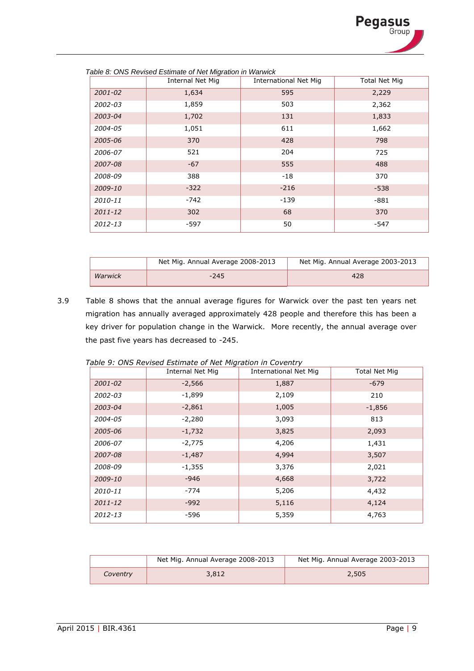

|             | <b>Internal Net Mig</b> | <b>International Net Mig</b> | <b>Total Net Mig</b> |
|-------------|-------------------------|------------------------------|----------------------|
| $2001 - 02$ | 1,634                   | 595                          | 2,229                |
| 2002-03     | 1,859                   | 503                          | 2,362                |
| 2003-04     | 1,702                   | 131                          | 1,833                |
| 2004-05     | 1,051                   | 611                          | 1,662                |
| 2005-06     | 370                     | 428                          | 798                  |
| 2006-07     | 521                     | 204                          | 725                  |
| 2007-08     | $-67$                   | 555                          | 488                  |
| 2008-09     | 388                     | $-18$                        | 370                  |
| 2009-10     | $-322$                  | $-216$                       | $-538$               |
| 2010-11     | $-742$                  | $-139$                       | $-881$               |
| $2011 - 12$ | 302                     | 68                           | 370                  |
| 2012-13     | $-597$                  | 50                           | $-547$               |

| Table 8: ONS Revised Estimate of Net Migration in Warwick |  |
|-----------------------------------------------------------|--|
|-----------------------------------------------------------|--|

|         | Net Mig. Annual Average 2008-2013 | Net Mig. Annual Average 2003-2013 |
|---------|-----------------------------------|-----------------------------------|
| Warwick | $-245$                            | 428                               |

3.9 Table 8 shows that the annual average figures for Warwick over the past ten years net migration has annually averaged approximately 428 people and therefore this has been a key driver for population change in the Warwick. More recently, the annual average over the past five years has decreased to -245.

|             | <b>Internal Net Mig</b> | <b>International Net Mig</b> | Total Net Mig |
|-------------|-------------------------|------------------------------|---------------|
| 2001-02     | $-2,566$                | 1,887                        | $-679$        |
| 2002-03     | $-1,899$                | 2,109                        | 210           |
| 2003-04     | $-2,861$                | 1,005                        | $-1,856$      |
| 2004-05     | $-2,280$                | 3,093                        | 813           |
| 2005-06     | $-1,732$                | 3,825                        | 2,093         |
| 2006-07     | $-2,775$                | 4,206                        | 1,431         |
| 2007-08     | $-1,487$                | 4,994                        | 3,507         |
| 2008-09     | $-1,355$                | 3,376                        | 2,021         |
| 2009-10     | $-946$                  | 4,668                        | 3,722         |
| 2010-11     | $-774$                  | 5,206                        | 4,432         |
| $2011 - 12$ | $-992$                  | 5,116                        | 4,124         |
| 2012-13     | -596                    | 5,359                        | 4,763         |

*Table 9: ONS Revised Estimate of Net Migration in Coventry*

|          | Net Mig. Annual Average 2008-2013 | Net Mig. Annual Average 2003-2013 |
|----------|-----------------------------------|-----------------------------------|
| Coventry | 3,812                             | 2,505                             |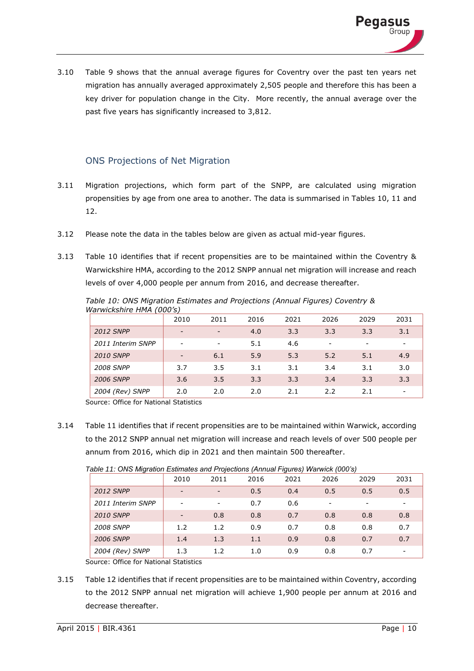

3.10 Table 9 shows that the annual average figures for Coventry over the past ten years net migration has annually averaged approximately 2,505 people and therefore this has been a key driver for population change in the City. More recently, the annual average over the past five years has significantly increased to 3,812.

# ONS Projections of Net Migration

- 3.11 Migration projections, which form part of the SNPP, are calculated using migration propensities by age from one area to another. The data is summarised in Tables 10, 11 and 12.
- 3.12 Please note the data in the tables below are given as actual mid-year figures.
- 3.13 Table 10 identifies that if recent propensities are to be maintained within the Coventry & Warwickshire HMA, according to the 2012 SNPP annual net migration will increase and reach levels of over 4,000 people per annum from 2016, and decrease thereafter.

|                   | וווכאזוח אויות אוווכאזווויות ווא |      |      |      |                          |      |                          |
|-------------------|----------------------------------|------|------|------|--------------------------|------|--------------------------|
|                   | 2010                             | 2011 | 2016 | 2021 | 2026                     | 2029 | 2031                     |
| <b>2012 SNPP</b>  | -                                | -    | 4.0  | 3.3  | 3.3                      | 3.3  | 3.1                      |
| 2011 Interim SNPP | -                                | ۰    | 5.1  | 4.6  | $\overline{\phantom{0}}$ | -    | $\overline{\phantom{a}}$ |
| <b>2010 SNPP</b>  |                                  | 6.1  | 5.9  | 5.3  | 5.2                      | 5.1  | 4.9                      |
| <b>2008 SNPP</b>  | 3.7                              | 3.5  | 3.1  | 3.1  | 3.4                      | 3.1  | 3.0                      |
| <b>2006 SNPP</b>  | 3.6                              | 3.5  | 3.3  | 3.3  | 3.4                      | 3.3  | 3.3                      |
| 2004 (Rev) SNPP   | 2.0                              | 2.0  | 2.0  | 2.1  | 2.2                      | 2.1  | -                        |

*Table 10: ONS Migration Estimates and Projections (Annual Figures) Coventry & Warwickshire HMA (000's)*

Source: Office for National Statistics

3.14 Table 11 identifies that if recent propensities are to be maintained within Warwick, according to the 2012 SNPP annual net migration will increase and reach levels of over 500 people per annum from 2016, which dip in 2021 and then maintain 500 thereafter.

*Table 11: ONS Migration Estimates and Projections (Annual Figures) Warwick (000's)*

|                   | 2010                     | 2011 | 2016 | ----<br>2021 | 2026 | $\overline{\phantom{a}}$<br>2029 | 2031            |
|-------------------|--------------------------|------|------|--------------|------|----------------------------------|-----------------|
| <b>2012 SNPP</b>  | $\overline{\phantom{0}}$ | -    | 0.5  | 0.4          | 0.5  | 0.5                              | 0.5             |
| 2011 Interim SNPP |                          |      | 0.7  | 0.6          |      |                                  |                 |
| <b>2010 SNPP</b>  | $\overline{\phantom{0}}$ | 0.8  | 0.8  | 0.7          | 0.8  | 0.8                              | 0.8             |
| <b>2008 SNPP</b>  | 1.2                      | 1.2  | 0.9  | 0.7          | 0.8  | 0.8                              | 0.7             |
| <b>2006 SNPP</b>  | 1.4                      | 1.3  | 1.1  | 0.9          | 0.8  | 0.7                              | 0.7             |
| 2004 (Rev) SNPP   | 1.3                      | 1.2  | 1.0  | 0.9          | 0.8  | 0.7                              | $\qquad \qquad$ |

Source: Office for National Statistics

3.15 Table 12 identifies that if recent propensities are to be maintained within Coventry, according to the 2012 SNPP annual net migration will achieve 1,900 people per annum at 2016 and decrease thereafter.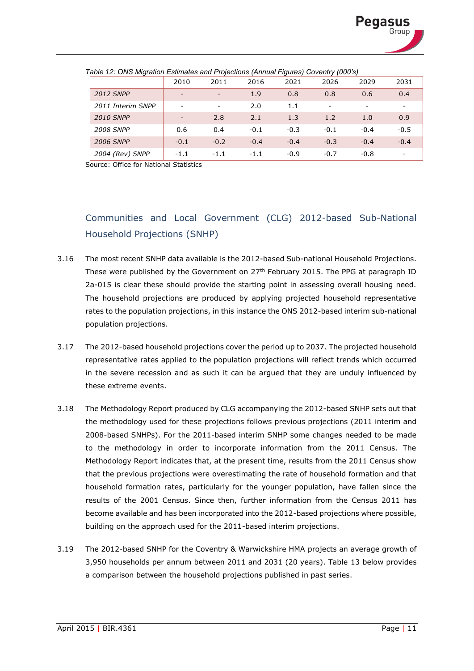

|                   |                          |                          |        |        | $.9 - 0.00$ |                          |                          |
|-------------------|--------------------------|--------------------------|--------|--------|-------------|--------------------------|--------------------------|
|                   | 2010                     | 2011                     | 2016   | 2021   | 2026        | 2029                     | 2031                     |
| <b>2012 SNPP</b>  | $\overline{\phantom{0}}$ | Ξ.                       | 1.9    | 0.8    | 0.8         | 0.6                      | 0.4                      |
| 2011 Interim SNPP | -                        | $\overline{\phantom{0}}$ | 2.0    | 1.1    | -           | $\overline{\phantom{a}}$ | $\overline{\phantom{a}}$ |
| <b>2010 SNPP</b>  | $\overline{\phantom{0}}$ | 2.8                      | 2.1    | 1.3    | 1.2         | 1.0                      | 0.9                      |
| <b>2008 SNPP</b>  | 0.6                      | 0.4                      | $-0.1$ | $-0.3$ | $-0.1$      | $-0.4$                   | $-0.5$                   |
| <b>2006 SNPP</b>  | $-0.1$                   | $-0.2$                   | $-0.4$ | $-0.4$ | $-0.3$      | $-0.4$                   | $-0.4$                   |
| 2004 (Rev) SNPP   | $-1.1$                   | $-1.1$                   | $-1.1$ | $-0.9$ | $-0.7$      | $-0.8$                   | $\overline{\phantom{a}}$ |

*Table 12: ONS Migration Estimates and Projections (Annual Figures) Coventry (000's)*

Source: Office for National Statistics

# Communities and Local Government (CLG) 2012-based Sub-National Household Projections (SNHP)

- 3.16 The most recent SNHP data available is the 2012-based Sub-national Household Projections. These were published by the Government on 27<sup>th</sup> February 2015. The PPG at paragraph ID 2a-015 is clear these should provide the starting point in assessing overall housing need. The household projections are produced by applying projected household representative rates to the population projections, in this instance the ONS 2012-based interim sub-national population projections.
- 3.17 The 2012-based household projections cover the period up to 2037. The projected household representative rates applied to the population projections will reflect trends which occurred in the severe recession and as such it can be argued that they are unduly influenced by these extreme events.
- 3.18 The Methodology Report produced by CLG accompanying the 2012-based SNHP sets out that the methodology used for these projections follows previous projections (2011 interim and 2008-based SNHPs). For the 2011-based interim SNHP some changes needed to be made to the methodology in order to incorporate information from the 2011 Census. The Methodology Report indicates that, at the present time, results from the 2011 Census show that the previous projections were overestimating the rate of household formation and that household formation rates, particularly for the younger population, have fallen since the results of the 2001 Census. Since then, further information from the Census 2011 has become available and has been incorporated into the 2012-based projections where possible, building on the approach used for the 2011-based interim projections.
- 3.19 The 2012-based SNHP for the Coventry & Warwickshire HMA projects an average growth of 3,950 households per annum between 2011 and 2031 (20 years). Table 13 below provides a comparison between the household projections published in past series.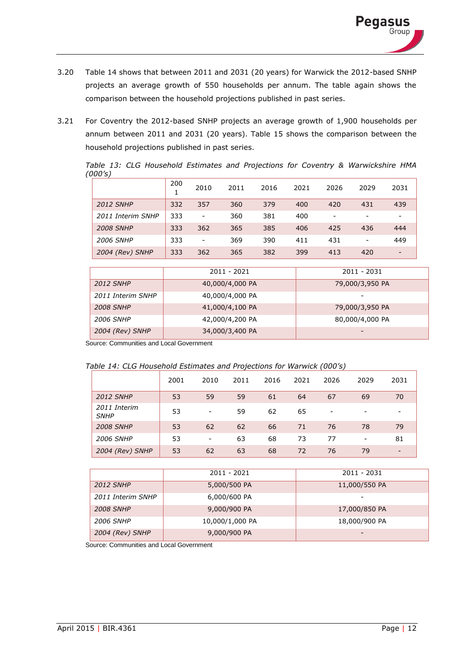- 3.20 Table 14 shows that between 2011 and 2031 (20 years) for Warwick the 2012-based SNHP projects an average growth of 550 households per annum. The table again shows the comparison between the household projections published in past series.
- 3.21 For Coventry the 2012-based SNHP projects an average growth of 1,900 households per annum between 2011 and 2031 (20 years). Table 15 shows the comparison between the household projections published in past series.

*Table 13: CLG Household Estimates and Projections for Coventry & Warwickshire HMA (000's)*

|                   | 200 | 2010           | 2011 | 2016 | 2021 | 2026 | 2029 | 2031                     |
|-------------------|-----|----------------|------|------|------|------|------|--------------------------|
| <b>2012 SNHP</b>  | 332 | 357            | 360  | 379  | 400  | 420  | 431  | 439                      |
| 2011 Interim SNHP | 333 | $\overline{a}$ | 360  | 381  | 400  | -    |      | -                        |
| <b>2008 SNHP</b>  | 333 | 362            | 365  | 385  | 406  | 425  | 436  | 444                      |
| <b>2006 SNHP</b>  | 333 | $\overline{a}$ | 369  | 390  | 411  | 431  | ۰    | 449                      |
| 2004 (Rev) SNHP   | 333 | 362            | 365  | 382  | 399  | 413  | 420  | $\overline{\phantom{0}}$ |

|                   | 2011 - 2021     | 2011 - 2031     |
|-------------------|-----------------|-----------------|
| <b>2012 SNHP</b>  | 40,000/4,000 PA | 79,000/3,950 PA |
| 2011 Interim SNHP | 40,000/4,000 PA |                 |
| <b>2008 SNHP</b>  | 41,000/4,100 PA | 79,000/3,950 PA |
| 2006 SNHP         | 42,000/4,200 PA | 80,000/4,000 PA |
| 2004 (Rev) SNHP   | 34,000/3,400 PA |                 |

Source: Communities and Local Government

|  |  |  | Table 14: CLG Household Estimates and Projections for Warwick (000's) |  |  |
|--|--|--|-----------------------------------------------------------------------|--|--|
|  |  |  |                                                                       |  |  |

|                             | 2001 | 2010 | 2011 | 2016 | 2021 | 2026 | 2029 | 2031                     |
|-----------------------------|------|------|------|------|------|------|------|--------------------------|
| <b>2012 SNHP</b>            | 53   | 59   | 59   | 61   | 64   | 67   | 69   | 70                       |
| 2011 Interim<br><b>SNHP</b> | 53   | -    | 59   | 62   | 65   | -    |      | $\overline{\phantom{a}}$ |
| <b>2008 SNHP</b>            | 53   | 62   | 62   | 66   | 71   | 76   | 78   | 79                       |
| <b>2006 SNHP</b>            | 53   | -    | 63   | 68   | 73   | 77   | -    | 81                       |
| 2004 (Rev) SNHP             | 53   | 62   | 63   | 68   | 72   | 76   | 79   | $\overline{\phantom{a}}$ |

|                   | 2011 - 2021     | 2011 - 2031   |
|-------------------|-----------------|---------------|
| <b>2012 SNHP</b>  | 5,000/500 PA    | 11,000/550 PA |
| 2011 Interim SNHP | 6,000/600 PA    |               |
| <b>2008 SNHP</b>  | 9,000/900 PA    | 17,000/850 PA |
| 2006 SNHP         | 10,000/1,000 PA | 18,000/900 PA |
| 2004 (Rev) SNHP   | 9,000/900 PA    |               |

Source: Communities and Local Government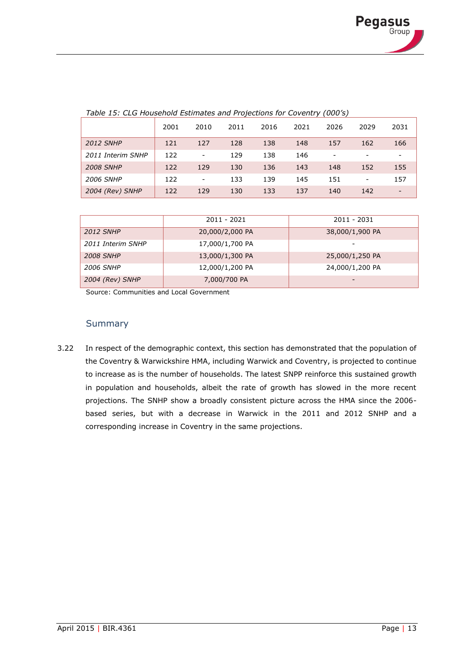| Table 15: CLG Household Estimates and Projections for Coventry (000's) |
|------------------------------------------------------------------------|
|                                                                        |

|                   | 2001 | 2010                         | 2011 | 2016 | 2021 | 2026 | 2029                     | 2031                     |
|-------------------|------|------------------------------|------|------|------|------|--------------------------|--------------------------|
| <b>2012 SNHP</b>  | 121  | 127                          | 128  | 138  | 148  | 157  | 162                      | 166                      |
| 2011 Interim SNHP | 122  | $\qquad \qquad \blacksquare$ | 129  | 138  | 146  | -    |                          | -                        |
| <b>2008 SNHP</b>  | 122  | 129                          | 130  | 136  | 143  | 148  | 152                      | 155                      |
| <b>2006 SNHP</b>  | 122  | -                            | 133  | 139  | 145  | 151  | $\overline{\phantom{a}}$ | 157                      |
| 2004 (Rev) SNHP   | 122  | 129                          | 130  | 133  | 137  | 140  | 142                      | $\overline{\phantom{0}}$ |

|                   | 2011 - 2021     | 2011 - 2031     |
|-------------------|-----------------|-----------------|
| <b>2012 SNHP</b>  | 20,000/2,000 PA | 38,000/1,900 PA |
| 2011 Interim SNHP | 17,000/1,700 PA |                 |
| <b>2008 SNHP</b>  | 13,000/1,300 PA | 25,000/1,250 PA |
| <b>2006 SNHP</b>  | 12,000/1,200 PA | 24,000/1,200 PA |
| 2004 (Rev) SNHP   | 7,000/700 PA    | -               |

Source: Communities and Local Government

#### Summary

3.22 In respect of the demographic context, this section has demonstrated that the population of the Coventry & Warwickshire HMA, including Warwick and Coventry, is projected to continue to increase as is the number of households. The latest SNPP reinforce this sustained growth in population and households, albeit the rate of growth has slowed in the more recent projections. The SNHP show a broadly consistent picture across the HMA since the 2006 based series, but with a decrease in Warwick in the 2011 and 2012 SNHP and a corresponding increase in Coventry in the same projections.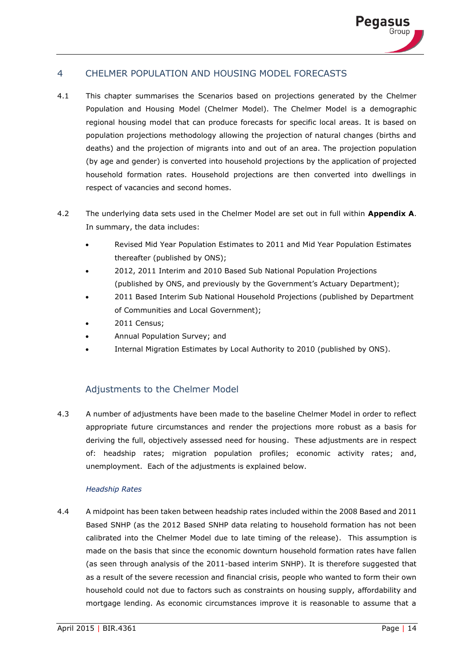

## 4 CHELMER POPULATION AND HOUSING MODEL FORECASTS

- 4.1 This chapter summarises the Scenarios based on projections generated by the Chelmer Population and Housing Model (Chelmer Model). The Chelmer Model is a demographic regional housing model that can produce forecasts for specific local areas. It is based on population projections methodology allowing the projection of natural changes (births and deaths) and the projection of migrants into and out of an area. The projection population (by age and gender) is converted into household projections by the application of projected household formation rates. Household projections are then converted into dwellings in respect of vacancies and second homes.
- 4.2 The underlying data sets used in the Chelmer Model are set out in full within **Appendix A**. In summary, the data includes:
	- Revised Mid Year Population Estimates to 2011 and Mid Year Population Estimates thereafter (published by ONS);
	- 2012, 2011 Interim and 2010 Based Sub National Population Projections (published by ONS, and previously by the Government's Actuary Department);
	- 2011 Based Interim Sub National Household Projections (published by Department of Communities and Local Government);
	- 2011 Census;
	- Annual Population Survey; and
	- Internal Migration Estimates by Local Authority to 2010 (published by ONS).

# Adjustments to the Chelmer Model

4.3 A number of adjustments have been made to the baseline Chelmer Model in order to reflect appropriate future circumstances and render the projections more robust as a basis for deriving the full, objectively assessed need for housing. These adjustments are in respect of: headship rates; migration population profiles; economic activity rates; and, unemployment. Each of the adjustments is explained below.

#### *Headship Rates*

4.4 A midpoint has been taken between headship rates included within the 2008 Based and 2011 Based SNHP (as the 2012 Based SNHP data relating to household formation has not been calibrated into the Chelmer Model due to late timing of the release). This assumption is made on the basis that since the economic downturn household formation rates have fallen (as seen through analysis of the 2011-based interim SNHP). It is therefore suggested that as a result of the severe recession and financial crisis, people who wanted to form their own household could not due to factors such as constraints on housing supply, affordability and mortgage lending. As economic circumstances improve it is reasonable to assume that a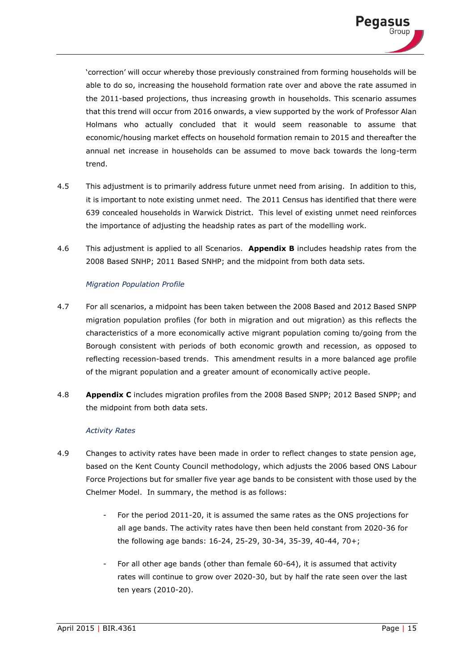

'correction' will occur whereby those previously constrained from forming households will be able to do so, increasing the household formation rate over and above the rate assumed in the 2011-based projections, thus increasing growth in households. This scenario assumes that this trend will occur from 2016 onwards, a view supported by the work of Professor Alan Holmans who actually concluded that it would seem reasonable to assume that economic/housing market effects on household formation remain to 2015 and thereafter the annual net increase in households can be assumed to move back towards the long-term trend.

- 4.5 This adjustment is to primarily address future unmet need from arising. In addition to this, it is important to note existing unmet need. The 2011 Census has identified that there were 639 concealed households in Warwick District. This level of existing unmet need reinforces the importance of adjusting the headship rates as part of the modelling work.
- 4.6 This adjustment is applied to all Scenarios. **Appendix B** includes headship rates from the 2008 Based SNHP; 2011 Based SNHP; and the midpoint from both data sets.

#### *Migration Population Profile*

- 4.7 For all scenarios, a midpoint has been taken between the 2008 Based and 2012 Based SNPP migration population profiles (for both in migration and out migration) as this reflects the characteristics of a more economically active migrant population coming to/going from the Borough consistent with periods of both economic growth and recession, as opposed to reflecting recession-based trends. This amendment results in a more balanced age profile of the migrant population and a greater amount of economically active people.
- 4.8 **Appendix C** includes migration profiles from the 2008 Based SNPP; 2012 Based SNPP; and the midpoint from both data sets.

#### *Activity Rates*

- 4.9 Changes to activity rates have been made in order to reflect changes to state pension age, based on the Kent County Council methodology, which adjusts the 2006 based ONS Labour Force Projections but for smaller five year age bands to be consistent with those used by the Chelmer Model. In summary, the method is as follows:
	- For the period 2011-20, it is assumed the same rates as the ONS projections for all age bands. The activity rates have then been held constant from 2020-36 for the following age bands: 16-24, 25-29, 30-34, 35-39, 40-44, 70+;
	- For all other age bands (other than female 60-64), it is assumed that activity rates will continue to grow over 2020-30, but by half the rate seen over the last ten years (2010-20).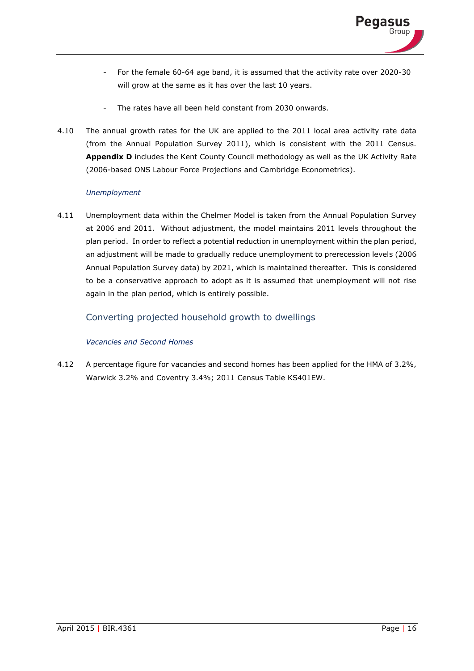- For the female 60-64 age band, it is assumed that the activity rate over 2020-30 will grow at the same as it has over the last 10 years.
- The rates have all been held constant from 2030 onwards.
- 4.10 The annual growth rates for the UK are applied to the 2011 local area activity rate data (from the Annual Population Survey 2011), which is consistent with the 2011 Census. **Appendix D** includes the Kent County Council methodology as well as the UK Activity Rate (2006-based ONS Labour Force Projections and Cambridge Econometrics).

## *Unemployment*

4.11 Unemployment data within the Chelmer Model is taken from the Annual Population Survey at 2006 and 2011. Without adjustment, the model maintains 2011 levels throughout the plan period. In order to reflect a potential reduction in unemployment within the plan period, an adjustment will be made to gradually reduce unemployment to prerecession levels (2006 Annual Population Survey data) by 2021, which is maintained thereafter. This is considered to be a conservative approach to adopt as it is assumed that unemployment will not rise again in the plan period, which is entirely possible.

# Converting projected household growth to dwellings

## *Vacancies and Second Homes*

4.12 A percentage figure for vacancies and second homes has been applied for the HMA of 3.2%, Warwick 3.2% and Coventry 3.4%; 2011 Census Table KS401EW.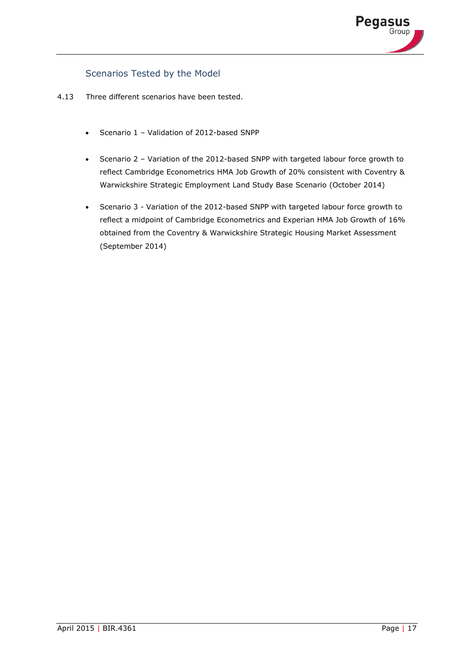

# Scenarios Tested by the Model

- 4.13 Three different scenarios have been tested.
	- Scenario 1 Validation of 2012-based SNPP
	- Scenario 2 Variation of the 2012-based SNPP with targeted labour force growth to reflect Cambridge Econometrics HMA Job Growth of 20% consistent with Coventry & Warwickshire Strategic Employment Land Study Base Scenario (October 2014)
	- Scenario 3 Variation of the 2012-based SNPP with targeted labour force growth to reflect a midpoint of Cambridge Econometrics and Experian HMA Job Growth of 16% obtained from the Coventry & Warwickshire Strategic Housing Market Assessment (September 2014)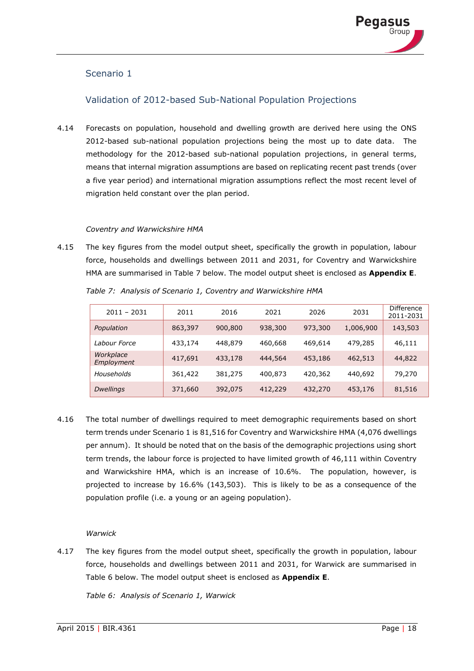

# Scenario 1

## Validation of 2012-based Sub-National Population Projections

4.14 Forecasts on population, household and dwelling growth are derived here using the ONS 2012-based sub-national population projections being the most up to date data. The methodology for the 2012-based sub-national population projections, in general terms, means that internal migration assumptions are based on replicating recent past trends (over a five year period) and international migration assumptions reflect the most recent level of migration held constant over the plan period.

#### *Coventry and Warwickshire HMA*

4.15 The key figures from the model output sheet, specifically the growth in population, labour force, households and dwellings between 2011 and 2031, for Coventry and Warwickshire HMA are summarised in Table 7 below. The model output sheet is enclosed as **Appendix E**.

| $2011 - 2031$           | 2011    | 2016    | 2021    | 2026    | 2031      | <b>Difference</b><br>2011-2031 |
|-------------------------|---------|---------|---------|---------|-----------|--------------------------------|
| Population              | 863,397 | 900,800 | 938,300 | 973,300 | 1,006,900 | 143,503                        |
| Labour Force            | 433,174 | 448,879 | 460,668 | 469,614 | 479,285   | 46,111                         |
| Workplace<br>Employment | 417,691 | 433,178 | 444,564 | 453,186 | 462,513   | 44,822                         |
| Households              | 361,422 | 381,275 | 400,873 | 420,362 | 440,692   | 79,270                         |
| <b>Dwellings</b>        | 371,660 | 392,075 | 412,229 | 432,270 | 453,176   | 81,516                         |

*Table 7: Analysis of Scenario 1, Coventry and Warwickshire HMA* 

4.16 The total number of dwellings required to meet demographic requirements based on short term trends under Scenario 1 is 81,516 for Coventry and Warwickshire HMA (4,076 dwellings per annum). It should be noted that on the basis of the demographic projections using short term trends, the labour force is projected to have limited growth of 46,111 within Coventry and Warwickshire HMA, which is an increase of 10.6%. The population, however, is projected to increase by 16.6% (143,503). This is likely to be as a consequence of the population profile (i.e. a young or an ageing population).

# *Warwick*

4.17 The key figures from the model output sheet, specifically the growth in population, labour force, households and dwellings between 2011 and 2031, for Warwick are summarised in Table 6 below. The model output sheet is enclosed as **Appendix E**.

*Table 6: Analysis of Scenario 1, Warwick*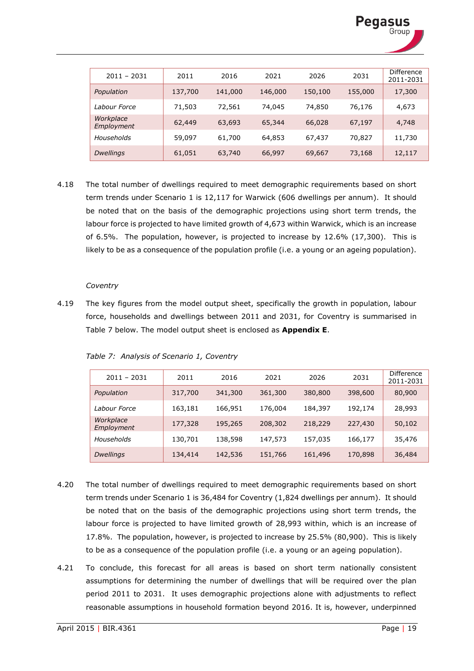

| $2011 - 2031$           | 2011    | 2016    | 2021    | 2026    | 2031    | <b>Difference</b><br>2011-2031 |
|-------------------------|---------|---------|---------|---------|---------|--------------------------------|
| Population              | 137,700 | 141,000 | 146,000 | 150,100 | 155,000 | 17,300                         |
| Labour Force            | 71,503  | 72,561  | 74,045  | 74,850  | 76,176  | 4,673                          |
| Workplace<br>Employment | 62,449  | 63,693  | 65,344  | 66,028  | 67,197  | 4,748                          |
| Households              | 59,097  | 61,700  | 64,853  | 67,437  | 70,827  | 11,730                         |
| <b>Dwellings</b>        | 61,051  | 63,740  | 66,997  | 69,667  | 73,168  | 12,117                         |

4.18 The total number of dwellings required to meet demographic requirements based on short term trends under Scenario 1 is 12,117 for Warwick (606 dwellings per annum). It should be noted that on the basis of the demographic projections using short term trends, the labour force is projected to have limited growth of 4,673 within Warwick, which is an increase of 6.5%. The population, however, is projected to increase by 12.6% (17,300). This is likely to be as a consequence of the population profile (i.e. a young or an ageing population).

#### *Coventry*

4.19 The key figures from the model output sheet, specifically the growth in population, labour force, households and dwellings between 2011 and 2031, for Coventry is summarised in Table 7 below. The model output sheet is enclosed as **Appendix E**.

| $2011 - 2031$           | 2011    | 2016    | 2021    | 2026    | 2031    | Difference<br>2011-2031 |
|-------------------------|---------|---------|---------|---------|---------|-------------------------|
| Population              | 317,700 | 341,300 | 361,300 | 380,800 | 398,600 | 80,900                  |
| Labour Force            | 163,181 | 166,951 | 176,004 | 184,397 | 192,174 | 28,993                  |
| Workplace<br>Employment | 177,328 | 195,265 | 208,302 | 218,229 | 227,430 | 50,102                  |
| Households              | 130,701 | 138,598 | 147,573 | 157,035 | 166,177 | 35,476                  |
| <b>Dwellings</b>        | 134,414 | 142,536 | 151,766 | 161,496 | 170,898 | 36,484                  |

*Table 7: Analysis of Scenario 1, Coventry*

- 4.20 The total number of dwellings required to meet demographic requirements based on short term trends under Scenario 1 is 36,484 for Coventry (1,824 dwellings per annum). It should be noted that on the basis of the demographic projections using short term trends, the labour force is projected to have limited growth of 28,993 within, which is an increase of 17.8%. The population, however, is projected to increase by 25.5% (80,900). This is likely to be as a consequence of the population profile (i.e. a young or an ageing population).
- 4.21 To conclude, this forecast for all areas is based on short term nationally consistent assumptions for determining the number of dwellings that will be required over the plan period 2011 to 2031. It uses demographic projections alone with adjustments to reflect reasonable assumptions in household formation beyond 2016. It is, however, underpinned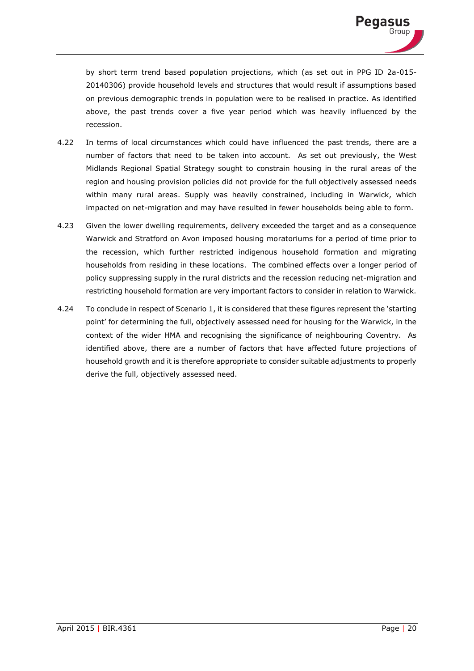

by short term trend based population projections, which (as set out in PPG ID 2a-015- 20140306) provide household levels and structures that would result if assumptions based on previous demographic trends in population were to be realised in practice. As identified above, the past trends cover a five year period which was heavily influenced by the recession.

- 4.22 In terms of local circumstances which could have influenced the past trends, there are a number of factors that need to be taken into account. As set out previously, the West Midlands Regional Spatial Strategy sought to constrain housing in the rural areas of the region and housing provision policies did not provide for the full objectively assessed needs within many rural areas. Supply was heavily constrained, including in Warwick, which impacted on net-migration and may have resulted in fewer households being able to form.
- 4.23 Given the lower dwelling requirements, delivery exceeded the target and as a consequence Warwick and Stratford on Avon imposed housing moratoriums for a period of time prior to the recession, which further restricted indigenous household formation and migrating households from residing in these locations. The combined effects over a longer period of policy suppressing supply in the rural districts and the recession reducing net-migration and restricting household formation are very important factors to consider in relation to Warwick.
- 4.24 To conclude in respect of Scenario 1, it is considered that these figures represent the 'starting point' for determining the full, objectively assessed need for housing for the Warwick, in the context of the wider HMA and recognising the significance of neighbouring Coventry. As identified above, there are a number of factors that have affected future projections of household growth and it is therefore appropriate to consider suitable adjustments to properly derive the full, objectively assessed need.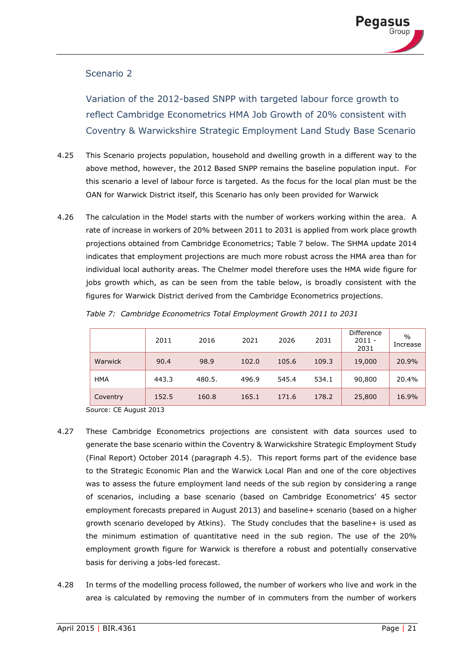# Scenario 2

Variation of the 2012-based SNPP with targeted labour force growth to reflect Cambridge Econometrics HMA Job Growth of 20% consistent with Coventry & Warwickshire Strategic Employment Land Study Base Scenario

- 4.25 This Scenario projects population, household and dwelling growth in a different way to the above method, however, the 2012 Based SNPP remains the baseline population input. For this scenario a level of labour force is targeted. As the focus for the local plan must be the OAN for Warwick District itself, this Scenario has only been provided for Warwick
- 4.26 The calculation in the Model starts with the number of workers working within the area. A rate of increase in workers of 20% between 2011 to 2031 is applied from work place growth projections obtained from Cambridge Econometrics; Table 7 below. The SHMA update 2014 indicates that employment projections are much more robust across the HMA area than for individual local authority areas. The Chelmer model therefore uses the HMA wide figure for jobs growth which, as can be seen from the table below, is broadly consistent with the figures for Warwick District derived from the Cambridge Econometrics projections.

|            | 2011  | 2016   | 2021  | 2026  | 2031  | Difference<br>$2011 -$<br>2031 | $\frac{0}{0}$<br>Increase |
|------------|-------|--------|-------|-------|-------|--------------------------------|---------------------------|
| Warwick    | 90.4  | 98.9   | 102.0 | 105.6 | 109.3 | 19,000                         | 20.9%                     |
| <b>HMA</b> | 443.3 | 480.5. | 496.9 | 545.4 | 534.1 | 90,800                         | 20.4%                     |
| Coventry   | 152.5 | 160.8  | 165.1 | 171.6 | 178.2 | 25,800                         | 16.9%                     |

*Table 7: Cambridge Econometrics Total Employment Growth 2011 to 2031* 

Source: CE August 2013

- 4.27 These Cambridge Econometrics projections are consistent with data sources used to generate the base scenario within the Coventry & Warwickshire Strategic Employment Study (Final Report) October 2014 (paragraph 4.5). This report forms part of the evidence base to the Strategic Economic Plan and the Warwick Local Plan and one of the core objectives was to assess the future employment land needs of the sub region by considering a range of scenarios, including a base scenario (based on Cambridge Econometrics' 45 sector employment forecasts prepared in August 2013) and baseline+ scenario (based on a higher growth scenario developed by Atkins). The Study concludes that the baseline+ is used as the minimum estimation of quantitative need in the sub region. The use of the 20% employment growth figure for Warwick is therefore a robust and potentially conservative basis for deriving a jobs-led forecast.
- 4.28 In terms of the modelling process followed, the number of workers who live and work in the area is calculated by removing the number of in commuters from the number of workers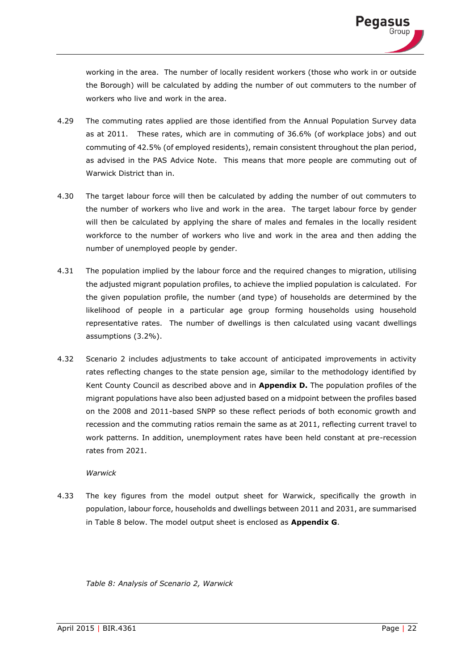working in the area. The number of locally resident workers (those who work in or outside the Borough) will be calculated by adding the number of out commuters to the number of workers who live and work in the area.

- 4.29 The commuting rates applied are those identified from the Annual Population Survey data as at 2011. These rates, which are in commuting of 36.6% (of workplace jobs) and out commuting of 42.5% (of employed residents), remain consistent throughout the plan period, as advised in the PAS Advice Note. This means that more people are commuting out of Warwick District than in.
- 4.30 The target labour force will then be calculated by adding the number of out commuters to the number of workers who live and work in the area. The target labour force by gender will then be calculated by applying the share of males and females in the locally resident workforce to the number of workers who live and work in the area and then adding the number of unemployed people by gender.
- 4.31 The population implied by the labour force and the required changes to migration, utilising the adjusted migrant population profiles, to achieve the implied population is calculated. For the given population profile, the number (and type) of households are determined by the likelihood of people in a particular age group forming households using household representative rates. The number of dwellings is then calculated using vacant dwellings assumptions (3.2%).
- 4.32 Scenario 2 includes adjustments to take account of anticipated improvements in activity rates reflecting changes to the state pension age, similar to the methodology identified by Kent County Council as described above and in **Appendix D.** The population profiles of the migrant populations have also been adjusted based on a midpoint between the profiles based on the 2008 and 2011-based SNPP so these reflect periods of both economic growth and recession and the commuting ratios remain the same as at 2011, reflecting current travel to work patterns. In addition, unemployment rates have been held constant at pre-recession rates from 2021.

#### *Warwick*

4.33 The key figures from the model output sheet for Warwick, specifically the growth in population, labour force, households and dwellings between 2011 and 2031, are summarised in Table 8 below. The model output sheet is enclosed as **Appendix G**.

*Table 8: Analysis of Scenario 2, Warwick*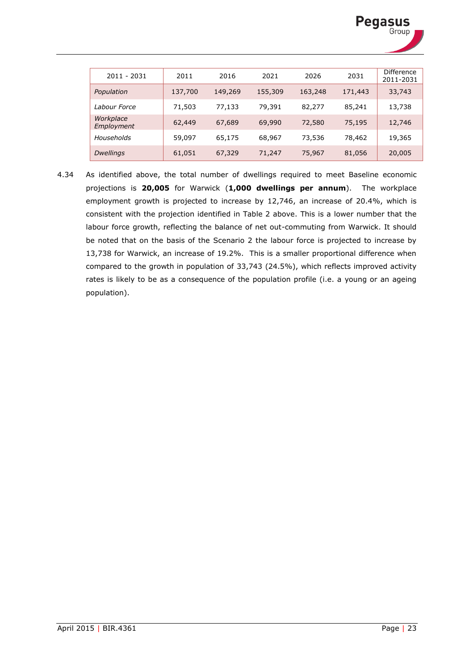

| 2011 - 2031             | 2011    | 2016    | 2021    | 2026    | 2031    | <b>Difference</b><br>2011-2031 |
|-------------------------|---------|---------|---------|---------|---------|--------------------------------|
| Population              | 137,700 | 149,269 | 155,309 | 163,248 | 171,443 | 33,743                         |
| Labour Force            | 71,503  | 77,133  | 79,391  | 82,277  | 85,241  | 13,738                         |
| Workplace<br>Employment | 62,449  | 67,689  | 69,990  | 72,580  | 75,195  | 12,746                         |
| Households              | 59,097  | 65,175  | 68,967  | 73,536  | 78,462  | 19,365                         |
| <b>Dwellings</b>        | 61,051  | 67,329  | 71,247  | 75,967  | 81,056  | 20,005                         |

4.34 As identified above, the total number of dwellings required to meet Baseline economic projections is **20,005** for Warwick (**1,000 dwellings per annum**). The workplace employment growth is projected to increase by 12,746, an increase of 20.4%, which is consistent with the projection identified in Table 2 above. This is a lower number that the labour force growth, reflecting the balance of net out-commuting from Warwick. It should be noted that on the basis of the Scenario 2 the labour force is projected to increase by 13,738 for Warwick, an increase of 19.2%. This is a smaller proportional difference when compared to the growth in population of 33,743 (24.5%), which reflects improved activity rates is likely to be as a consequence of the population profile (i.e. a young or an ageing population).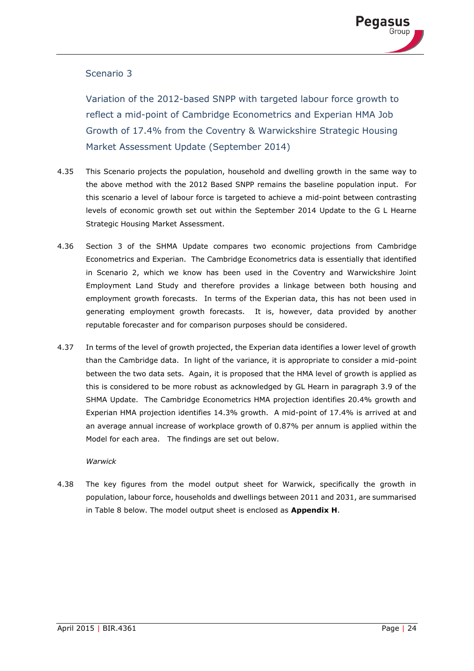# Scenario 3

Variation of the 2012-based SNPP with targeted labour force growth to reflect a mid-point of Cambridge Econometrics and Experian HMA Job Growth of 17.4% from the Coventry & Warwickshire Strategic Housing Market Assessment Update (September 2014)

- 4.35 This Scenario projects the population, household and dwelling growth in the same way to the above method with the 2012 Based SNPP remains the baseline population input. For this scenario a level of labour force is targeted to achieve a mid-point between contrasting levels of economic growth set out within the September 2014 Update to the G L Hearne Strategic Housing Market Assessment.
- 4.36 Section 3 of the SHMA Update compares two economic projections from Cambridge Econometrics and Experian. The Cambridge Econometrics data is essentially that identified in Scenario 2, which we know has been used in the Coventry and Warwickshire Joint Employment Land Study and therefore provides a linkage between both housing and employment growth forecasts. In terms of the Experian data, this has not been used in generating employment growth forecasts. It is, however, data provided by another reputable forecaster and for comparison purposes should be considered.
- 4.37 In terms of the level of growth projected, the Experian data identifies a lower level of growth than the Cambridge data. In light of the variance, it is appropriate to consider a mid-point between the two data sets. Again, it is proposed that the HMA level of growth is applied as this is considered to be more robust as acknowledged by GL Hearn in paragraph 3.9 of the SHMA Update. The Cambridge Econometrics HMA projection identifies 20.4% growth and Experian HMA projection identifies 14.3% growth. A mid-point of 17.4% is arrived at and an average annual increase of workplace growth of 0.87% per annum is applied within the Model for each area. The findings are set out below.

#### *Warwick*

4.38 The key figures from the model output sheet for Warwick, specifically the growth in population, labour force, households and dwellings between 2011 and 2031, are summarised in Table 8 below. The model output sheet is enclosed as **Appendix H**.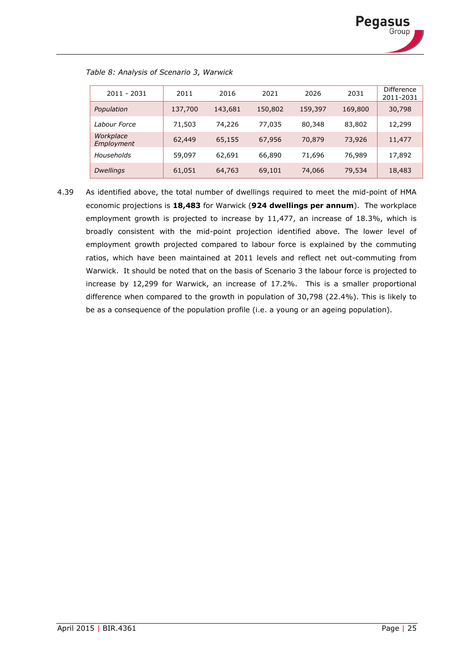

| 2011 - 2031             | 2011    | 2016    | 2021    | 2026    | 2031    | <b>Difference</b><br>2011-2031 |
|-------------------------|---------|---------|---------|---------|---------|--------------------------------|
| Population              | 137,700 | 143,681 | 150,802 | 159,397 | 169,800 | 30,798                         |
| Labour Force            | 71,503  | 74,226  | 77,035  | 80,348  | 83,802  | 12,299                         |
| Workplace<br>Employment | 62,449  | 65,155  | 67,956  | 70,879  | 73,926  | 11,477                         |
| Households              | 59,097  | 62,691  | 66,890  | 71,696  | 76,989  | 17,892                         |
| <b>Dwellings</b>        | 61,051  | 64,763  | 69,101  | 74,066  | 79,534  | 18,483                         |

*Table 8: Analysis of Scenario 3, Warwick*

4.39 As identified above, the total number of dwellings required to meet the mid-point of HMA economic projections is **18,483** for Warwick (**924 dwellings per annum**). The workplace employment growth is projected to increase by 11,477, an increase of 18.3%, which is broadly consistent with the mid-point projection identified above. The lower level of employment growth projected compared to labour force is explained by the commuting ratios, which have been maintained at 2011 levels and reflect net out-commuting from Warwick. It should be noted that on the basis of Scenario 3 the labour force is projected to increase by 12,299 for Warwick, an increase of 17.2%. This is a smaller proportional difference when compared to the growth in population of 30,798 (22.4%). This is likely to be as a consequence of the population profile (i.e. a young or an ageing population).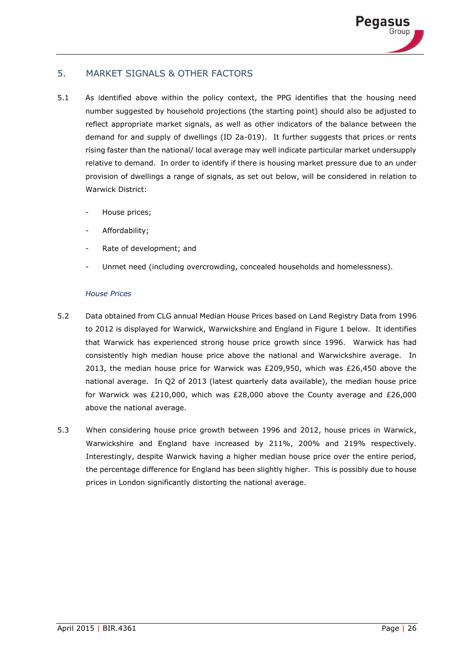# 5. MARKET SIGNALS & OTHER FACTORS

- 5.1 As identified above within the policy context, the PPG identifies that the housing need number suggested by household projections (the starting point) should also be adjusted to reflect appropriate market signals, as well as other indicators of the balance between the demand for and supply of dwellings (ID 2a-019). It further suggests that prices or rents rising faster than the national/ local average may well indicate particular market undersupply relative to demand. In order to identify if there is housing market pressure due to an under provision of dwellings a range of signals, as set out below, will be considered in relation to Warwick District:
	- House prices;
	- Affordability;
	- Rate of development; and
	- Unmet need (including overcrowding, concealed households and homelessness).

#### *House Prices*

- 5.2 Data obtained from CLG annual Median House Prices based on Land Registry Data from 1996 to 2012 is displayed for Warwick, Warwickshire and England in Figure 1 below. It identifies that Warwick has experienced strong house price growth since 1996. Warwick has had consistently high median house price above the national and Warwickshire average. In 2013, the median house price for Warwick was £209,950, which was £26,450 above the national average. In Q2 of 2013 (latest quarterly data available), the median house price for Warwick was £210,000, which was £28,000 above the County average and £26,000 above the national average.
- 5.3 When considering house price growth between 1996 and 2012, house prices in Warwick, Warwickshire and England have increased by 211%, 200% and 219% respectively. Interestingly, despite Warwick having a higher median house price over the entire period, the percentage difference for England has been slightly higher. This is possibly due to house prices in London significantly distorting the national average.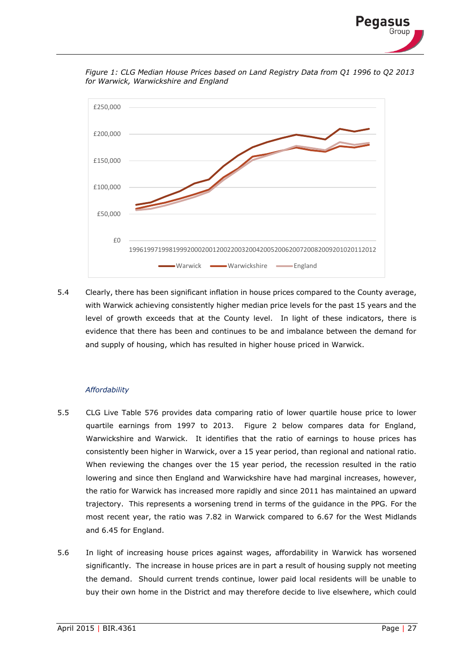

*Figure 1: CLG Median House Prices based on Land Registry Data from Q1 1996 to Q2 2013 for Warwick, Warwickshire and England*



5.4 Clearly, there has been significant inflation in house prices compared to the County average, with Warwick achieving consistently higher median price levels for the past 15 years and the level of growth exceeds that at the County level. In light of these indicators, there is evidence that there has been and continues to be and imbalance between the demand for and supply of housing, which has resulted in higher house priced in Warwick.

#### *Affordability*

- 5.5 CLG Live Table 576 provides data comparing ratio of lower quartile house price to lower quartile earnings from 1997 to 2013. Figure 2 below compares data for England, Warwickshire and Warwick. It identifies that the ratio of earnings to house prices has consistently been higher in Warwick, over a 15 year period, than regional and national ratio. When reviewing the changes over the 15 year period, the recession resulted in the ratio lowering and since then England and Warwickshire have had marginal increases, however, the ratio for Warwick has increased more rapidly and since 2011 has maintained an upward trajectory. This represents a worsening trend in terms of the guidance in the PPG. For the most recent year, the ratio was 7.82 in Warwick compared to 6.67 for the West Midlands and 6.45 for England.
- 5.6 In light of increasing house prices against wages, affordability in Warwick has worsened significantly. The increase in house prices are in part a result of housing supply not meeting the demand. Should current trends continue, lower paid local residents will be unable to buy their own home in the District and may therefore decide to live elsewhere, which could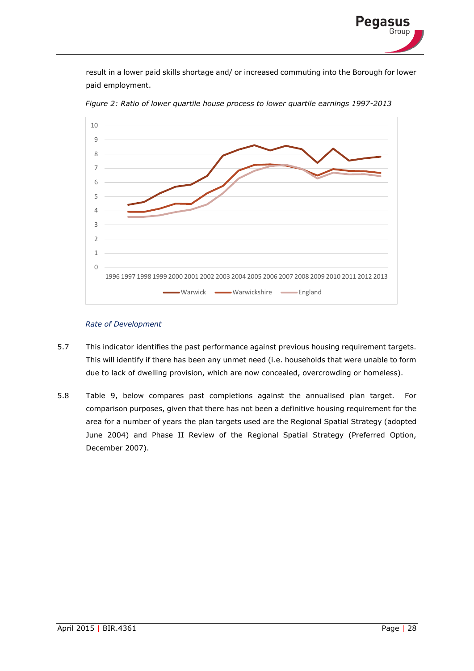result in a lower paid skills shortage and/ or increased commuting into the Borough for lower paid employment.



*Figure 2: Ratio of lower quartile house process to lower quartile earnings 1997-2013*

#### *Rate of Development*

- 5.7 This indicator identifies the past performance against previous housing requirement targets. This will identify if there has been any unmet need (i.e. households that were unable to form due to lack of dwelling provision, which are now concealed, overcrowding or homeless).
- 5.8 Table 9, below compares past completions against the annualised plan target. For comparison purposes, given that there has not been a definitive housing requirement for the area for a number of years the plan targets used are the Regional Spatial Strategy (adopted June 2004) and Phase II Review of the Regional Spatial Strategy (Preferred Option, December 2007).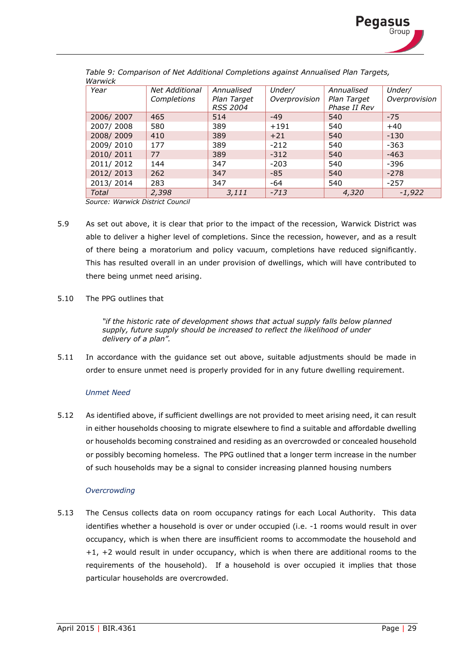

| Year      | <b>Net Additional</b> | Annualised      | Under/        | Annualised   | Under/        |
|-----------|-----------------------|-----------------|---------------|--------------|---------------|
|           | Completions           | Plan Target     | Overprovision | Plan Target  | Overprovision |
|           |                       | <b>RSS 2004</b> |               | Phase II Rev |               |
| 2006/2007 | 465                   | 514             | $-49$         | 540          | $-75$         |
| 2007/2008 | 580                   | 389             | $+191$        | 540          | $+40$         |
| 2008/2009 | 410                   | 389             | $+21$         | 540          | $-130$        |
| 2009/2010 | 177                   | 389             | $-212$        | 540          | $-363$        |
| 2010/2011 | 77                    | 389             | $-312$        | 540          | $-463$        |
| 2011/2012 | 144                   | 347             | $-203$        | 540          | $-396$        |
| 2012/2013 | 262                   | 347             | $-85$         | 540          | $-278$        |
| 2013/2014 | 283                   | 347             | $-64$         | 540          | $-257$        |
| Total     | 2,398                 | 3,111           | $-713$        | 4,320        | $-1,922$      |

*Table 9: Comparison of Net Additional Completions against Annualised Plan Targets, Warwick*

*Source: Warwick District Council* 

- 5.9 As set out above, it is clear that prior to the impact of the recession, Warwick District was able to deliver a higher level of completions. Since the recession, however, and as a result of there being a moratorium and policy vacuum, completions have reduced significantly. This has resulted overall in an under provision of dwellings, which will have contributed to there being unmet need arising.
- 5.10 The PPG outlines that

*"if the historic rate of development shows that actual supply falls below planned supply, future supply should be increased to reflect the likelihood of under delivery of a plan".*

5.11 In accordance with the guidance set out above, suitable adjustments should be made in order to ensure unmet need is properly provided for in any future dwelling requirement.

#### *Unmet Need*

5.12 As identified above, if sufficient dwellings are not provided to meet arising need, it can result in either households choosing to migrate elsewhere to find a suitable and affordable dwelling or households becoming constrained and residing as an overcrowded or concealed household or possibly becoming homeless. The PPG outlined that a longer term increase in the number of such households may be a signal to consider increasing planned housing numbers

#### *Overcrowding*

5.13 The Census collects data on room occupancy ratings for each Local Authority. This data identifies whether a household is over or under occupied (i.e. -1 rooms would result in over occupancy, which is when there are insufficient rooms to accommodate the household and +1, +2 would result in under occupancy, which is when there are additional rooms to the requirements of the household). If a household is over occupied it implies that those particular households are overcrowded.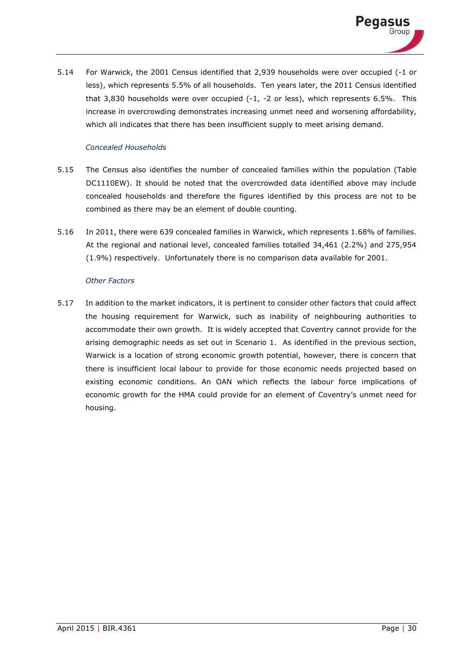

5.14 For Warwick, the 2001 Census identified that 2,939 households were over occupied (-1 or less), which represents 5.5% of all households. Ten years later, the 2011 Census identified that 3,830 households were over occupied (-1, -2 or less), which represents 6.5%. This increase in overcrowding demonstrates increasing unmet need and worsening affordability, which all indicates that there has been insufficient supply to meet arising demand.

#### *Concealed Households*

- 5.15 The Census also identifies the number of concealed families within the population (Table DC1110EW). It should be noted that the overcrowded data identified above may include concealed households and therefore the figures identified by this process are not to be combined as there may be an element of double counting.
- 5.16 In 2011, there were 639 concealed families in Warwick, which represents 1.68% of families. At the regional and national level, concealed families totalled 34,461 (2.2%) and 275,954 (1.9%) respectively. Unfortunately there is no comparison data available for 2001.

#### *Other Factors*

5.17 In addition to the market indicators, it is pertinent to consider other factors that could affect the housing requirement for Warwick, such as inability of neighbouring authorities to accommodate their own growth. It is widely accepted that Coventry cannot provide for the arising demographic needs as set out in Scenario 1. As identified in the previous section, Warwick is a location of strong economic growth potential, however, there is concern that there is insufficient local labour to provide for those economic needs projected based on existing economic conditions. An OAN which reflects the labour force implications of economic growth for the HMA could provide for an element of Coventry's unmet need for housing.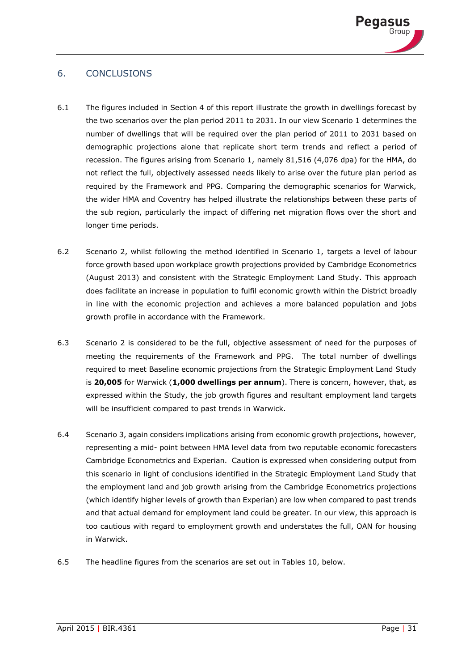

# 6. CONCLUSIONS

- 6.1 The figures included in Section 4 of this report illustrate the growth in dwellings forecast by the two scenarios over the plan period 2011 to 2031. In our view Scenario 1 determines the number of dwellings that will be required over the plan period of 2011 to 2031 based on demographic projections alone that replicate short term trends and reflect a period of recession. The figures arising from Scenario 1, namely 81,516 (4,076 dpa) for the HMA, do not reflect the full, objectively assessed needs likely to arise over the future plan period as required by the Framework and PPG. Comparing the demographic scenarios for Warwick, the wider HMA and Coventry has helped illustrate the relationships between these parts of the sub region, particularly the impact of differing net migration flows over the short and longer time periods.
- 6.2 Scenario 2, whilst following the method identified in Scenario 1, targets a level of labour force growth based upon workplace growth projections provided by Cambridge Econometrics (August 2013) and consistent with the Strategic Employment Land Study. This approach does facilitate an increase in population to fulfil economic growth within the District broadly in line with the economic projection and achieves a more balanced population and jobs growth profile in accordance with the Framework.
- 6.3 Scenario 2 is considered to be the full, objective assessment of need for the purposes of meeting the requirements of the Framework and PPG. The total number of dwellings required to meet Baseline economic projections from the Strategic Employment Land Study is **20,005** for Warwick (**1,000 dwellings per annum**). There is concern, however, that, as expressed within the Study, the job growth figures and resultant employment land targets will be insufficient compared to past trends in Warwick.
- 6.4 Scenario 3, again considers implications arising from economic growth projections, however, representing a mid- point between HMA level data from two reputable economic forecasters Cambridge Econometrics and Experian. Caution is expressed when considering output from this scenario in light of conclusions identified in the Strategic Employment Land Study that the employment land and job growth arising from the Cambridge Econometrics projections (which identify higher levels of growth than Experian) are low when compared to past trends and that actual demand for employment land could be greater. In our view, this approach is too cautious with regard to employment growth and understates the full, OAN for housing in Warwick.
- 6.5 The headline figures from the scenarios are set out in Tables 10, below.